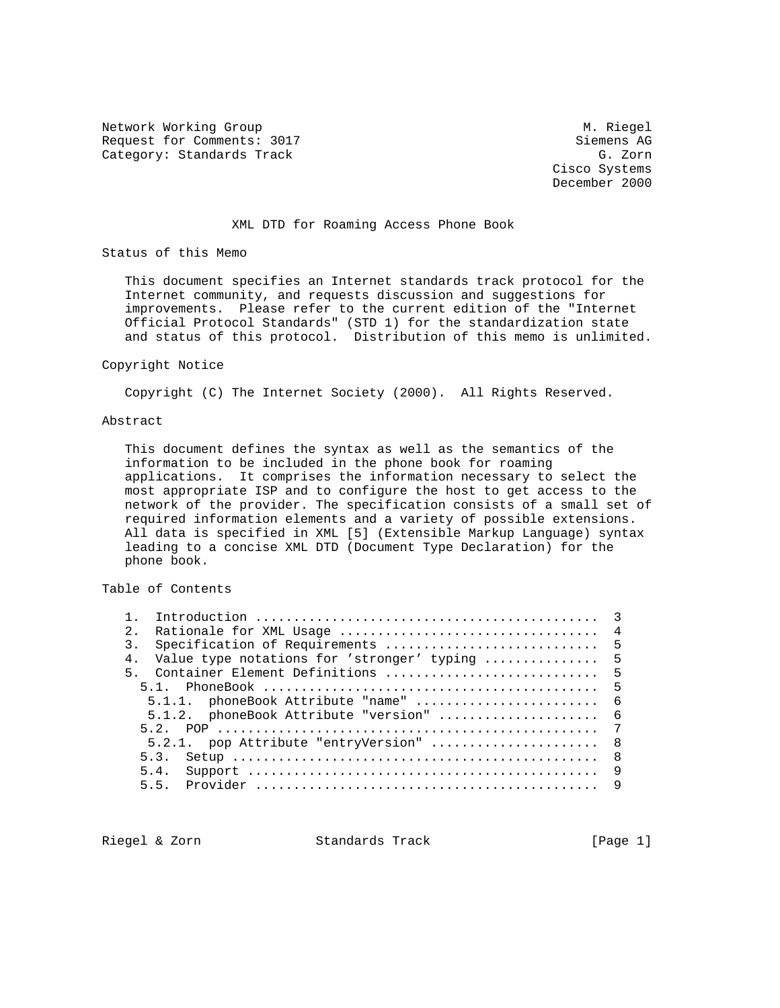Network Working Group Methods and Muslim Muslim Muslim Muslim Muslim Muslim Muslim Muslim Muslim Muslim Muslim Request for Comments: 3017 Siemens AG Category: Standards Track G. Zorn G. Zorn

 Cisco Systems December 2000

### XML DTD for Roaming Access Phone Book

Status of this Memo

 This document specifies an Internet standards track protocol for the Internet community, and requests discussion and suggestions for improvements. Please refer to the current edition of the "Internet Official Protocol Standards" (STD 1) for the standardization state and status of this protocol. Distribution of this memo is unlimited.

#### Copyright Notice

Copyright (C) The Internet Society (2000). All Rights Reserved.

### Abstract

 This document defines the syntax as well as the semantics of the information to be included in the phone book for roaming applications. It comprises the information necessary to select the most appropriate ISP and to configure the host to get access to the network of the provider. The specification consists of a small set of required information elements and a variety of possible extensions. All data is specified in XML [5] (Extensible Markup Language) syntax leading to a concise XML DTD (Document Type Declaration) for the phone book.

Table of Contents

| 2.               | $\overline{4}$                                    |  |
|------------------|---------------------------------------------------|--|
| $\overline{3}$ . | Specification of Requirements<br>$-5$             |  |
| 4 <sub>1</sub>   | Value type notations for 'stronger' typing<br>- 5 |  |
|                  | 5. Container Element Definitions  5               |  |
|                  | - 5                                               |  |
|                  | 5.1.1. phoneBook Attribute "name"<br>- 6          |  |
|                  | $5.1.2.$ phoneBook Attribute "version"<br>- 6     |  |
|                  | - 7<br>5 2                                        |  |
|                  | 5.2.1. pop Attribute "entryVersion"<br>- 8        |  |
|                  | - 8<br>5.3.                                       |  |
|                  | 9<br>5.4.                                         |  |
|                  | 55<br>-9                                          |  |
|                  |                                                   |  |

Riegel & Zorn Standards Track [Page 1]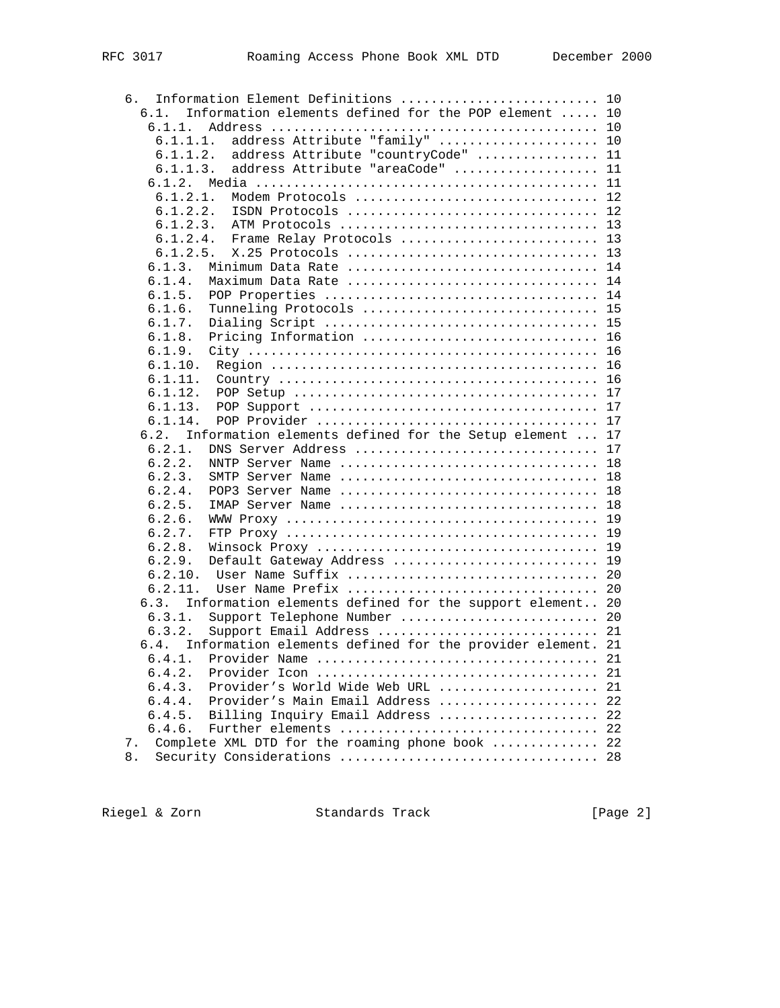| Information Element Definitions  10<br>б.                         |    |
|-------------------------------------------------------------------|----|
| Information elements defined for the POP element  10<br>6.1.      |    |
| $6.1.1$ .                                                         |    |
| address Attribute "family"  10<br>6.1.1.1.                        |    |
| address Attribute "countryCode"  11<br>6.1.1.2.                   |    |
| address Attribute "areaCode"  11<br>6.1.1.3.                      |    |
|                                                                   |    |
| 6.1.2.1.<br>Modem Protocols  12                                   |    |
| 6.1.2.2.<br>ISDN Protocols  12                                    |    |
|                                                                   |    |
| 6.1.2.4.<br>Frame Relay Protocols  13                             |    |
|                                                                   |    |
| 6.1.3.<br>Minimum Data Rate  14                                   |    |
| 6.1.4.<br>Maximum Data Rate  14                                   |    |
| 6.1.5.                                                            |    |
| 6.1.6.<br>Tunneling Protocols  15                                 |    |
| 6.1.7.                                                            |    |
| Pricing Information  16<br>6.1.8.                                 |    |
| 6.1.9.                                                            |    |
|                                                                   |    |
| 6.1.11.                                                           |    |
| 6.1.12.                                                           |    |
| 6.1.13.                                                           |    |
| 6.1.14.                                                           |    |
| 6.2.<br>Information elements defined for the Setup element  17    |    |
| DNS Server Address  17<br>6.2.1.                                  |    |
| 6.2.2.<br>NNTP Server Name  18                                    |    |
| 6.2.3.<br>SMTP Server Name  18                                    |    |
| 6.2.4.<br>POP3 Server Name  18                                    |    |
| 6.2.5.<br>IMAP Server Name  18                                    |    |
| 6.2.6.                                                            |    |
| 6.2.7.                                                            |    |
| 6.2.8.                                                            |    |
| Default Gateway Address  19<br>6.2.9.                             |    |
|                                                                   |    |
| 6.2.11.                                                           |    |
| Information elements defined for the support element 20<br>6.3.   |    |
| Support Telephone Number  20<br>6.3.1.                            |    |
| Support Email Address  21<br>6.3.2.                               |    |
| Information elements defined for the provider element. 21<br>6.4. |    |
| 6.4.1.                                                            |    |
| 6.4.2.                                                            | 21 |
| Provider's World Wide Web URL<br>6.4.3.                           | 21 |
| 6.4.4.<br>Provider's Main Email Address                           | 22 |
| Billing Inquiry Email Address<br>6.4.5.                           | 22 |
| 6.4.6.<br>Further elements                                        | 22 |
| Complete XML DTD for the roaming phone book<br>7.                 | 22 |
| 8.                                                                | 28 |

Riegel & Zorn Standards Track [Page 2]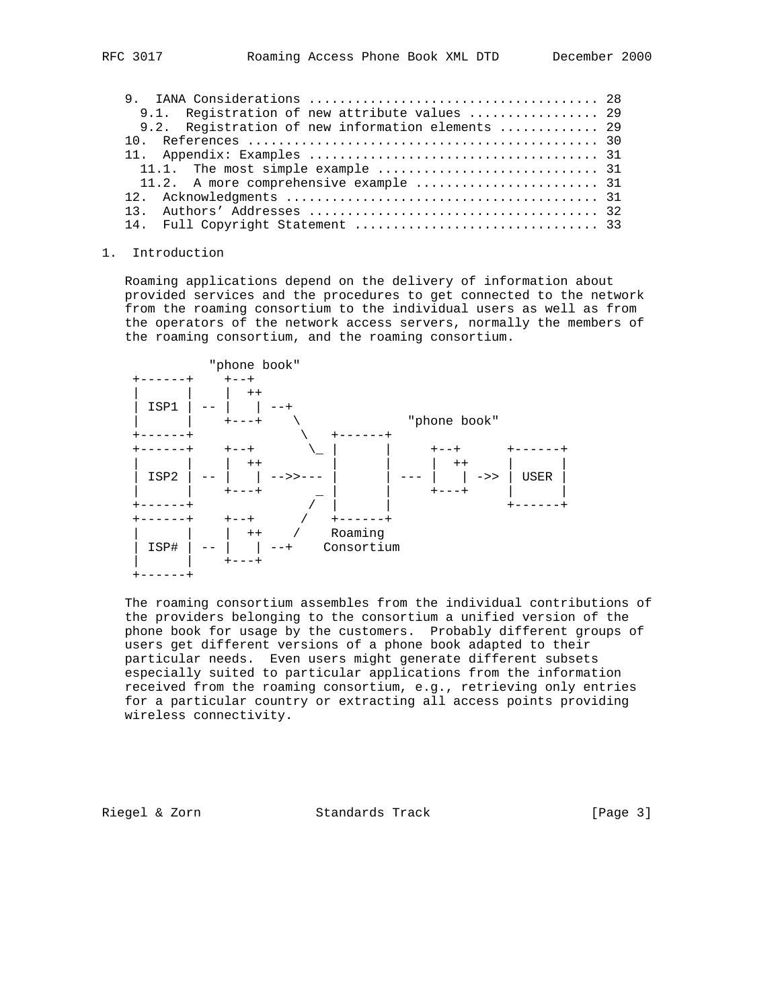| 9.1. Registration of new attribute values  29     |  |
|---------------------------------------------------|--|
| 9.2. Registration of new information elements  29 |  |
|                                                   |  |
|                                                   |  |
|                                                   |  |
|                                                   |  |
|                                                   |  |
|                                                   |  |
|                                                   |  |

#### 1. Introduction

 Roaming applications depend on the delivery of information about provided services and the procedures to get connected to the network from the roaming consortium to the individual users as well as from the operators of the network access servers, normally the members of the roaming consortium, and the roaming consortium.



 The roaming consortium assembles from the individual contributions of the providers belonging to the consortium a unified version of the phone book for usage by the customers. Probably different groups of users get different versions of a phone book adapted to their particular needs. Even users might generate different subsets especially suited to particular applications from the information received from the roaming consortium, e.g., retrieving only entries for a particular country or extracting all access points providing wireless connectivity.

Riegel & Zorn Standards Track (Page 3)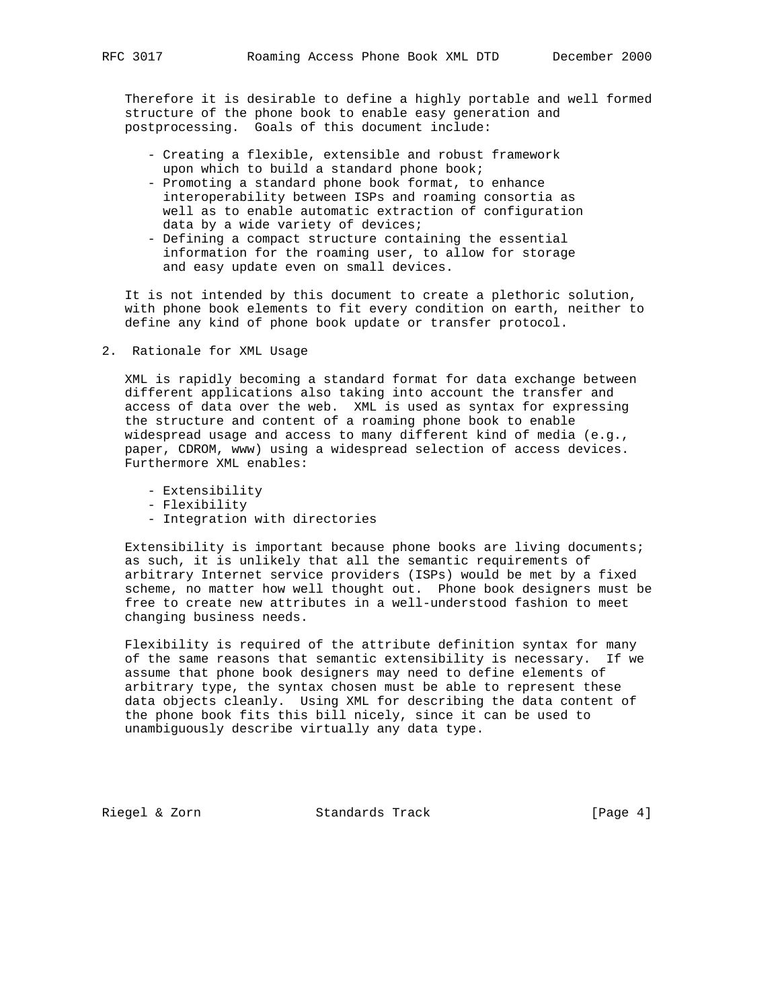Therefore it is desirable to define a highly portable and well formed structure of the phone book to enable easy generation and postprocessing. Goals of this document include:

- Creating a flexible, extensible and robust framework upon which to build a standard phone book;
- Promoting a standard phone book format, to enhance interoperability between ISPs and roaming consortia as well as to enable automatic extraction of configuration data by a wide variety of devices;
- Defining a compact structure containing the essential information for the roaming user, to allow for storage and easy update even on small devices.

 It is not intended by this document to create a plethoric solution, with phone book elements to fit every condition on earth, neither to define any kind of phone book update or transfer protocol.

2. Rationale for XML Usage

 XML is rapidly becoming a standard format for data exchange between different applications also taking into account the transfer and access of data over the web. XML is used as syntax for expressing the structure and content of a roaming phone book to enable widespread usage and access to many different kind of media (e.g., paper, CDROM, www) using a widespread selection of access devices. Furthermore XML enables:

- Extensibility
- Flexibility
- Integration with directories

 Extensibility is important because phone books are living documents; as such, it is unlikely that all the semantic requirements of arbitrary Internet service providers (ISPs) would be met by a fixed scheme, no matter how well thought out. Phone book designers must be free to create new attributes in a well-understood fashion to meet changing business needs.

 Flexibility is required of the attribute definition syntax for many of the same reasons that semantic extensibility is necessary. If we assume that phone book designers may need to define elements of arbitrary type, the syntax chosen must be able to represent these data objects cleanly. Using XML for describing the data content of the phone book fits this bill nicely, since it can be used to unambiguously describe virtually any data type.

Riegel & Zorn Standards Track [Page 4]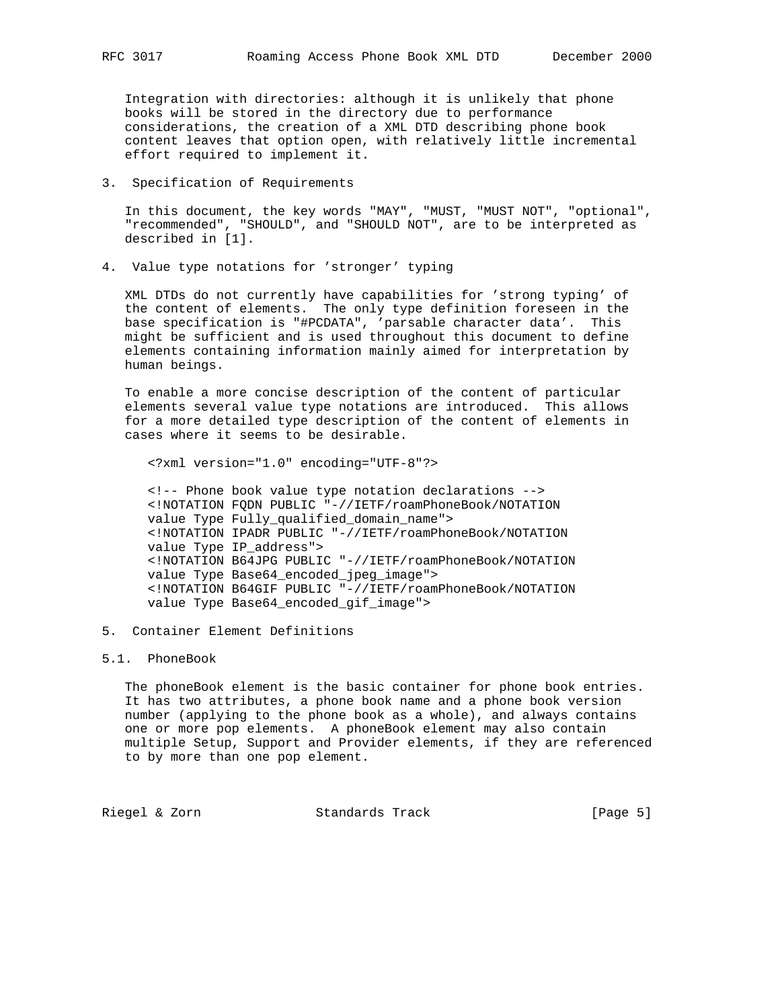Integration with directories: although it is unlikely that phone books will be stored in the directory due to performance considerations, the creation of a XML DTD describing phone book content leaves that option open, with relatively little incremental effort required to implement it.

3. Specification of Requirements

 In this document, the key words "MAY", "MUST, "MUST NOT", "optional", "recommended", "SHOULD", and "SHOULD NOT", are to be interpreted as described in [1].

4. Value type notations for 'stronger' typing

 XML DTDs do not currently have capabilities for 'strong typing' of the content of elements. The only type definition foreseen in the base specification is "#PCDATA", 'parsable character data'. This might be sufficient and is used throughout this document to define elements containing information mainly aimed for interpretation by human beings.

 To enable a more concise description of the content of particular elements several value type notations are introduced. This allows for a more detailed type description of the content of elements in cases where it seems to be desirable.

<?xml version="1.0" encoding="UTF-8"?>

 <!-- Phone book value type notation declarations --> <!NOTATION FQDN PUBLIC "-//IETF/roamPhoneBook/NOTATION value Type Fully\_qualified\_domain\_name"> <!NOTATION IPADR PUBLIC "-//IETF/roamPhoneBook/NOTATION value Type IP\_address"> <!NOTATION B64JPG PUBLIC "-//IETF/roamPhoneBook/NOTATION value Type Base64\_encoded\_jpeg\_image"> <!NOTATION B64GIF PUBLIC "-//IETF/roamPhoneBook/NOTATION value Type Base64\_encoded\_gif\_image">

5. Container Element Definitions

## 5.1. PhoneBook

 The phoneBook element is the basic container for phone book entries. It has two attributes, a phone book name and a phone book version number (applying to the phone book as a whole), and always contains one or more pop elements. A phoneBook element may also contain multiple Setup, Support and Provider elements, if they are referenced to by more than one pop element.

Riegel & Zorn Standards Track [Page 5]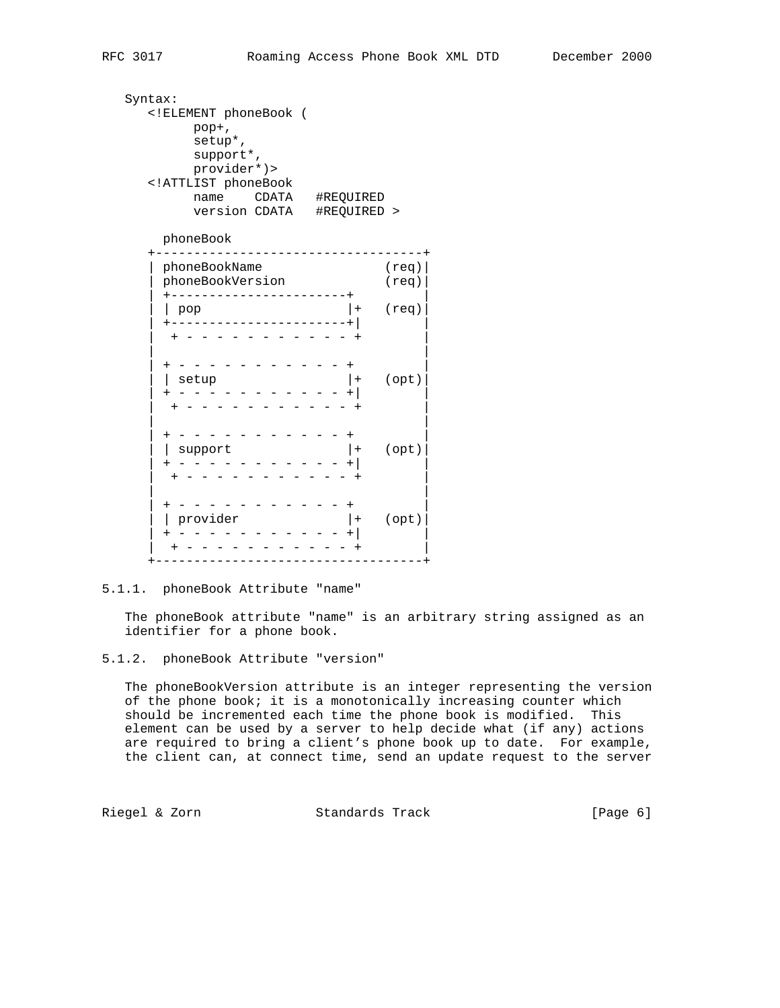Syntax: <!ELEMENT phoneBook ( pop+, setup\*, support\*, provider\*)> <!ATTLIST phoneBook name CDATA #REQUIRED version CDATA #REQUIRED > phoneBook +-----------------------------------+ | phoneBookName (req)| | phoneBookVersion (req)| | +-----------------------+ |  $|$  pop  $|$  + (req) | +-----------------------+| | | + - - - - - - - - - - - + | | | | + - - - - - - - - - - - + |  $\begin{array}{ccc} & & |+ & ( \texttt{opt} ) \end{array}$  | + - - - - - - - - - - - +| | | + - - - - - - - - - - - + | | | | + - - - - - - - - - - - + | | | support |+ (opt)| | + - - - - - - - - - - - +| | | + - - - - - - - - - - - + | | | | + - - - - - - - - - - - + | | | provider |+ (opt)| | + - - - - - - - - - - - +| | | + - - - - - - - - - - - + |

+-----------------------------------+

### 5.1.1. phoneBook Attribute "name"

 The phoneBook attribute "name" is an arbitrary string assigned as an identifier for a phone book.

 The phoneBookVersion attribute is an integer representing the version of the phone book; it is a monotonically increasing counter which should be incremented each time the phone book is modified. This element can be used by a server to help decide what (if any) actions are required to bring a client's phone book up to date. For example, the client can, at connect time, send an update request to the server

Riegel & Zorn **Standards Track** [Page 6]

<sup>5.1.2.</sup> phoneBook Attribute "version"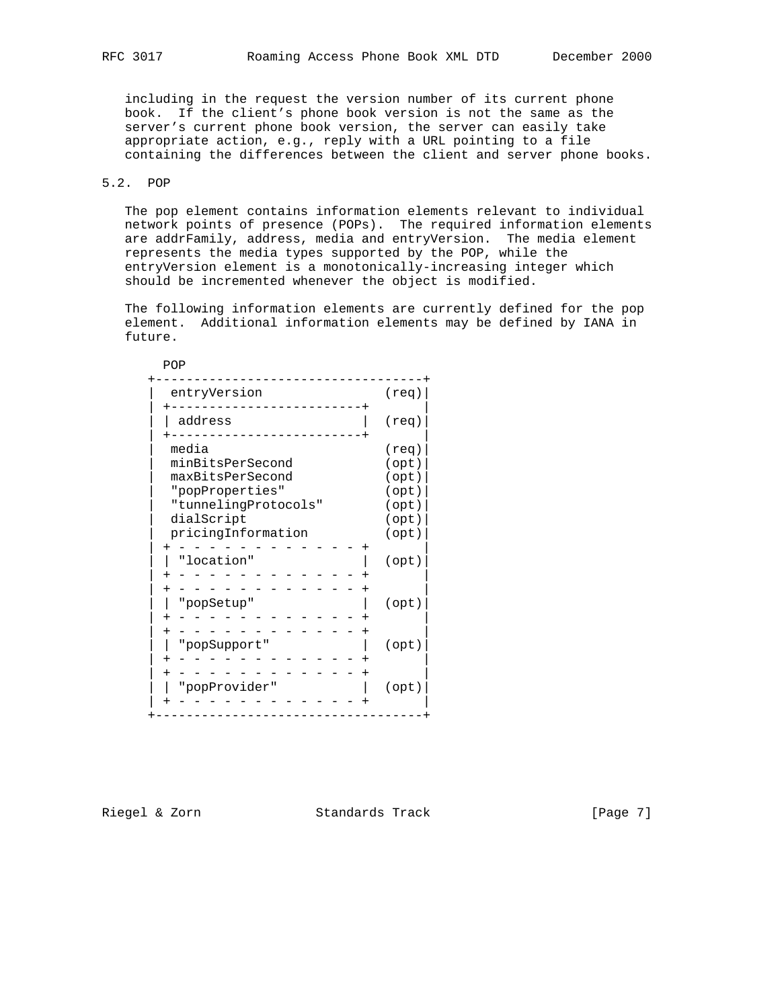including in the request the version number of its current phone book. If the client's phone book version is not the same as the server's current phone book version, the server can easily take appropriate action, e.g., reply with a URL pointing to a file containing the differences between the client and server phone books.

## 5.2. POP

POP

 The pop element contains information elements relevant to individual network points of presence (POPs). The required information elements are addrFamily, address, media and entryVersion. The media element represents the media types supported by the POP, while the entryVersion element is a monotonically-increasing integer which should be incremented whenever the object is modified.

 The following information elements are currently defined for the pop element. Additional information elements may be defined by IANA in future.

| entryVersion                                                                                           | (req)                                                       |  |
|--------------------------------------------------------------------------------------------------------|-------------------------------------------------------------|--|
| address                                                                                                | $(\text{req})$                                              |  |
| media<br>minBitsPerSecond<br>maxBitsPerSecond<br>"popProperties"<br>"tunnelingProtocols"<br>dialScript | $(\text{req})$<br>(opt)<br>(opt)<br>(opt)<br>(opt)<br>(opt) |  |
| pricingInformation                                                                                     | (opt)                                                       |  |
| "location"                                                                                             | (opt)                                                       |  |
| "popSetup"                                                                                             | (opt)                                                       |  |
| "popSupport"                                                                                           | (opt)                                                       |  |
| "popProvider"                                                                                          | (opt)                                                       |  |

Riegel & Zorn Standards Track [Page 7]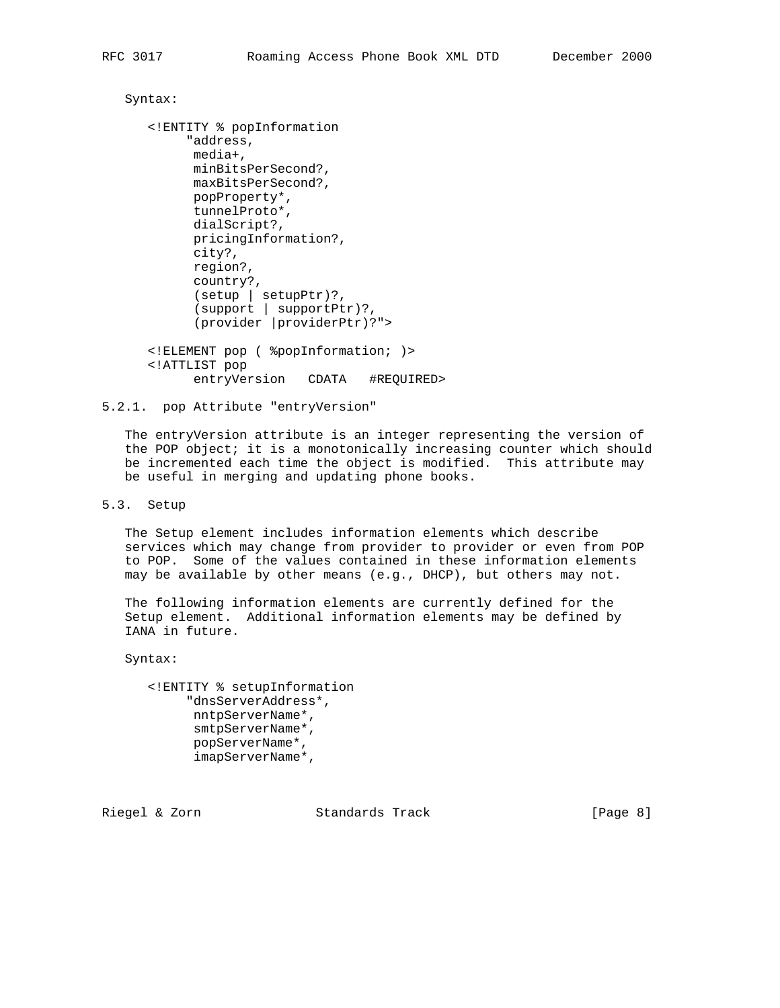```
 Syntax:
```

```
 <!ENTITY % popInformation
      "address,
      media+,
       minBitsPerSecond?,
       maxBitsPerSecond?,
      popProperty*,
       tunnelProto*,
       dialScript?,
       pricingInformation?,
       city?,
       region?,
       country?,
       (setup | setupPtr)?,
       (support | supportPtr)?,
       (provider |providerPtr)?">
 <!ELEMENT pop ( %popInformation; )>
 <!ATTLIST pop
       entryVersion CDATA #REQUIRED>
```

```
5.2.1. pop Attribute "entryVersion"
```
 The entryVersion attribute is an integer representing the version of the POP object; it is a monotonically increasing counter which should be incremented each time the object is modified. This attribute may be useful in merging and updating phone books.

5.3. Setup

 The Setup element includes information elements which describe services which may change from provider to provider or even from POP to POP. Some of the values contained in these information elements may be available by other means (e.g., DHCP), but others may not.

 The following information elements are currently defined for the Setup element. Additional information elements may be defined by IANA in future.

Syntax:

```
 <!ENTITY % setupInformation
      "dnsServerAddress*,
      nntpServerName*,
       smtpServerName*,
       popServerName*,
       imapServerName*,
```
Riegel & Zorn Standards Track (Page 8)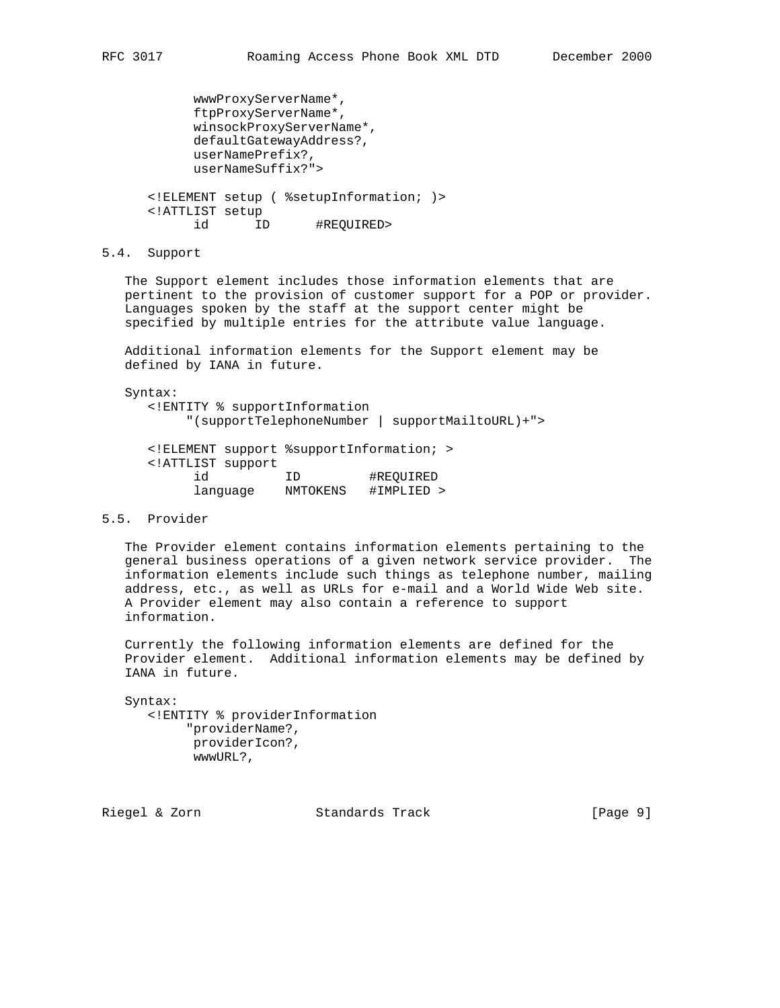```
 wwwProxyServerName*,
       ftpProxyServerName*,
       winsockProxyServerName*,
       defaultGatewayAddress?,
       userNamePrefix?,
       userNameSuffix?">
 <!ELEMENT setup ( %setupInformation; )>
 <!ATTLIST setup
```

```
 id ID #REQUIRED>
```
language NMTOKENS #IMPLIED >

5.4. Support

 The Support element includes those information elements that are pertinent to the provision of customer support for a POP or provider. Languages spoken by the staff at the support center might be specified by multiple entries for the attribute value language.

 Additional information elements for the Support element may be defined by IANA in future.

Syntax:

 <!ENTITY % supportInformation "(supportTelephoneNumber | supportMailtoURL)+"> <!ELEMENT support %supportInformation; > <!ATTLIST support id ID #REQUIRED

#### 5.5. Provider

 The Provider element contains information elements pertaining to the general business operations of a given network service provider. The information elements include such things as telephone number, mailing address, etc., as well as URLs for e-mail and a World Wide Web site. A Provider element may also contain a reference to support information.

 Currently the following information elements are defined for the Provider element. Additional information elements may be defined by IANA in future.

 Syntax: <!ENTITY % providerInformation "providerName?, providerIcon?, wwwURL?,

Riegel & Zorn Standards Track [Page 9]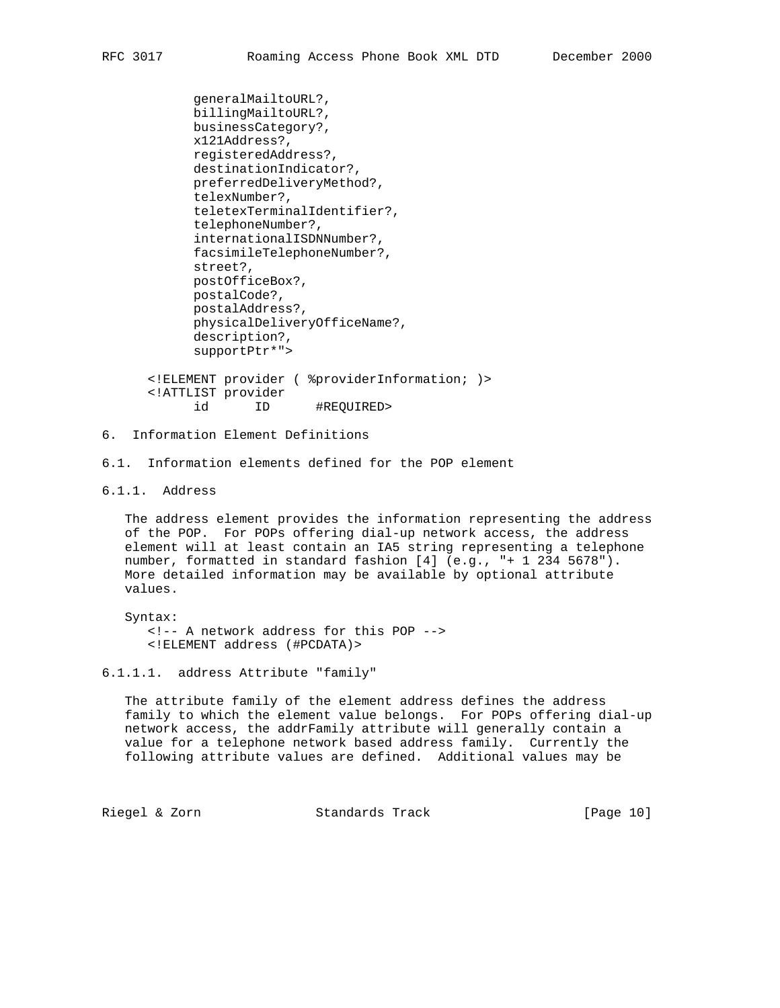```
 generalMailtoURL?,
       billingMailtoURL?,
       businessCategory?,
       x121Address?,
       registeredAddress?,
       destinationIndicator?,
       preferredDeliveryMethod?,
       telexNumber?,
       teletexTerminalIdentifier?,
       telephoneNumber?,
       internationalISDNNumber?,
       facsimileTelephoneNumber?,
       street?,
       postOfficeBox?,
       postalCode?,
       postalAddress?,
       physicalDeliveryOfficeName?,
       description?,
       supportPtr*">
 <!ELEMENT provider ( %providerInformation; )>
 <!ATTLIST provider
```
id ID #REQUIRED>

# 6. Information Element Definitions

6.1. Information elements defined for the POP element

# 6.1.1. Address

 The address element provides the information representing the address of the POP. For POPs offering dial-up network access, the address element will at least contain an IA5 string representing a telephone number, formatted in standard fashion [4] (e.g., "+ 1 234 5678"). More detailed information may be available by optional attribute values.

 Syntax: <!-- A network address for this POP --> <!ELEMENT address (#PCDATA)>

### 6.1.1.1. address Attribute "family"

 The attribute family of the element address defines the address family to which the element value belongs. For POPs offering dial-up network access, the addrFamily attribute will generally contain a value for a telephone network based address family. Currently the following attribute values are defined. Additional values may be

Riegel & Zorn Standards Track [Page 10]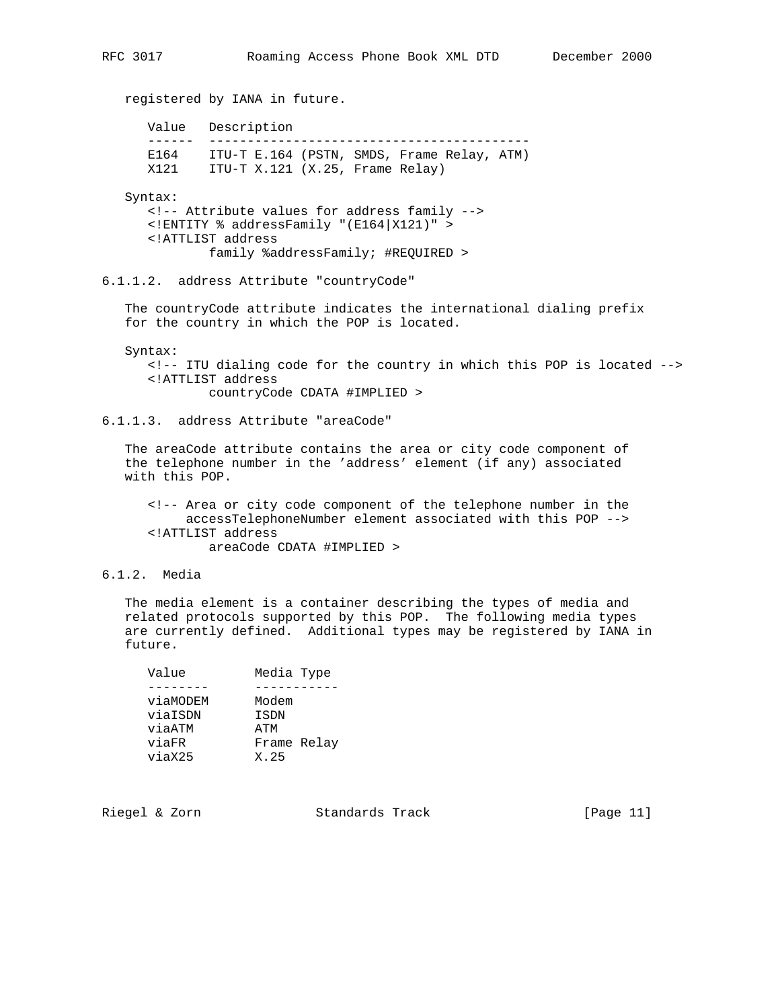registered by IANA in future. Value Description ------ ------------------------------------------ E164 ITU-T E.164 (PSTN, SMDS, Frame Relay, ATM) X121 ITU-T X.121 (X.25, Frame Relay) Syntax: <!-- Attribute values for address family --> <!ENTITY % addressFamily "(E164|X121)" > <!ATTLIST address family %addressFamily; #REQUIRED > 6.1.1.2. address Attribute "countryCode" The countryCode attribute indicates the international dialing prefix for the country in which the POP is located. Syntax: <!-- ITU dialing code for the country in which this POP is located --> <!ATTLIST address countryCode CDATA #IMPLIED > 6.1.1.3. address Attribute "areaCode" The areaCode attribute contains the area or city code component of the telephone number in the 'address' element (if any) associated with this POP. <!-- Area or city code component of the telephone number in the accessTelephoneNumber element associated with this POP --> <!ATTLIST address areaCode CDATA #IMPLIED > 6.1.2. Media

 The media element is a container describing the types of media and related protocols supported by this POP. The following media types are currently defined. Additional types may be registered by IANA in future.

| Value    | Media Type  |
|----------|-------------|
|          |             |
| viaMODEM | Modem       |
| viaISDN  | <b>ISDN</b> |
| viaATM   | ATM         |
| viaFR    | Frame Relay |
| viaX25   | X.25        |

Riegel & Zorn Standards Track [Page 11]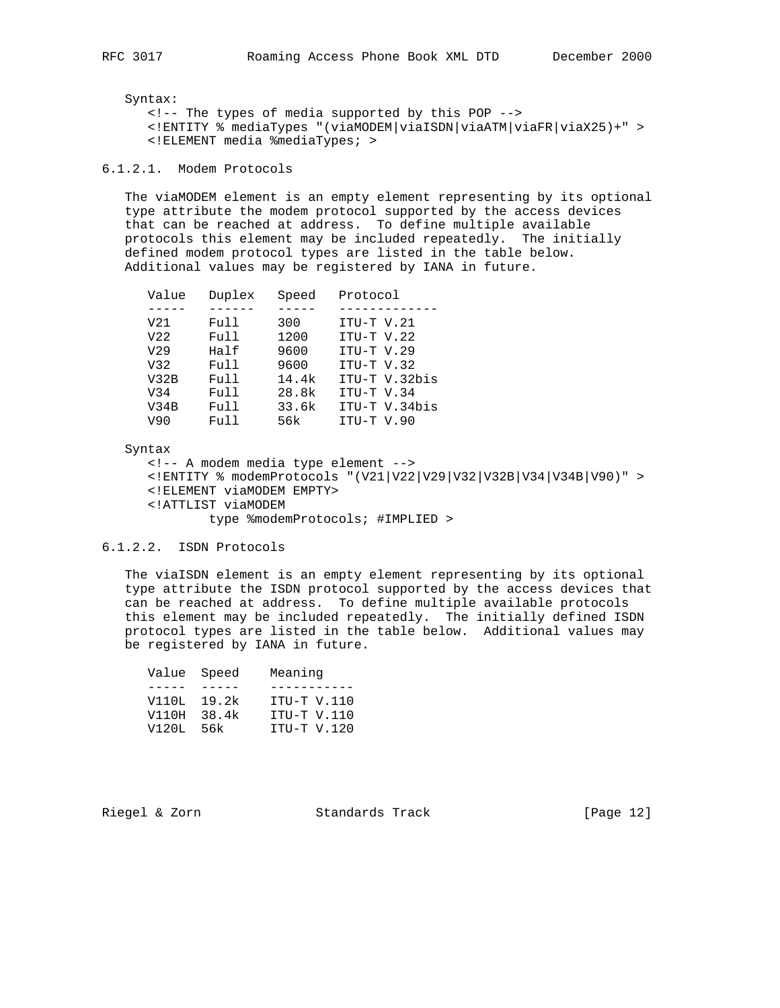Syntax:

 <!-- The types of media supported by this POP --> <!ENTITY % mediaTypes "(viaMODEM|viaISDN|viaATM|viaFR|viaX25)+" > <!ELEMENT media %mediaTypes; >

# 6.1.2.1. Modem Protocols

 The viaMODEM element is an empty element representing by its optional type attribute the modem protocol supported by the access devices that can be reached at address. To define multiple available protocols this element may be included repeatedly. The initially defined modem protocol types are listed in the table below. Additional values may be registered by IANA in future.

| Value           | Duplex | Speed | Protocol      |
|-----------------|--------|-------|---------------|
|                 |        |       |               |
| V <sub>21</sub> | Full   | 300   | ITU-T V.21    |
| V <sub>22</sub> | Full   | 1200  | ITU-T V.22    |
| V <sub>29</sub> | Half   | 9600  | $ITU-T V.29$  |
| V32             | Full   | 9600  | $ITU-T V.32$  |
| V32B            | Full   | 14.4k | ITU-T V.32bis |
| V34             | Full   | 28.8k | ITU-T V.34    |
| V34B            | Full   | 33.6k | ITU-T V.34bis |
| V90             | Full   | 56k   | ITU-T V.90    |

#### Syntax

 <!-- A modem media type element --> <!ENTITY % modemProtocols "(V21|V22|V29|V32|V32B|V34|V34B|V90)" > <!ELEMENT viaMODEM EMPTY> <!ATTLIST viaMODEM type %modemProtocols; #IMPLIED >

# 6.1.2.2. ISDN Protocols

 The viaISDN element is an empty element representing by its optional type attribute the ISDN protocol supported by the access devices that can be reached at address. To define multiple available protocols this element may be included repeatedly. The initially defined ISDN protocol types are listed in the table below. Additional values may be registered by IANA in future.

| Value Speed |       | Meaning     |
|-------------|-------|-------------|
|             |       |             |
| V110L 19.2k |       | ITU-T V.110 |
| V110H       | 38.4k | ITU-T V.110 |
| V120L       | 56k   | ITU-T V.120 |
|             |       |             |

Riegel & Zorn Standards Track [Page 12]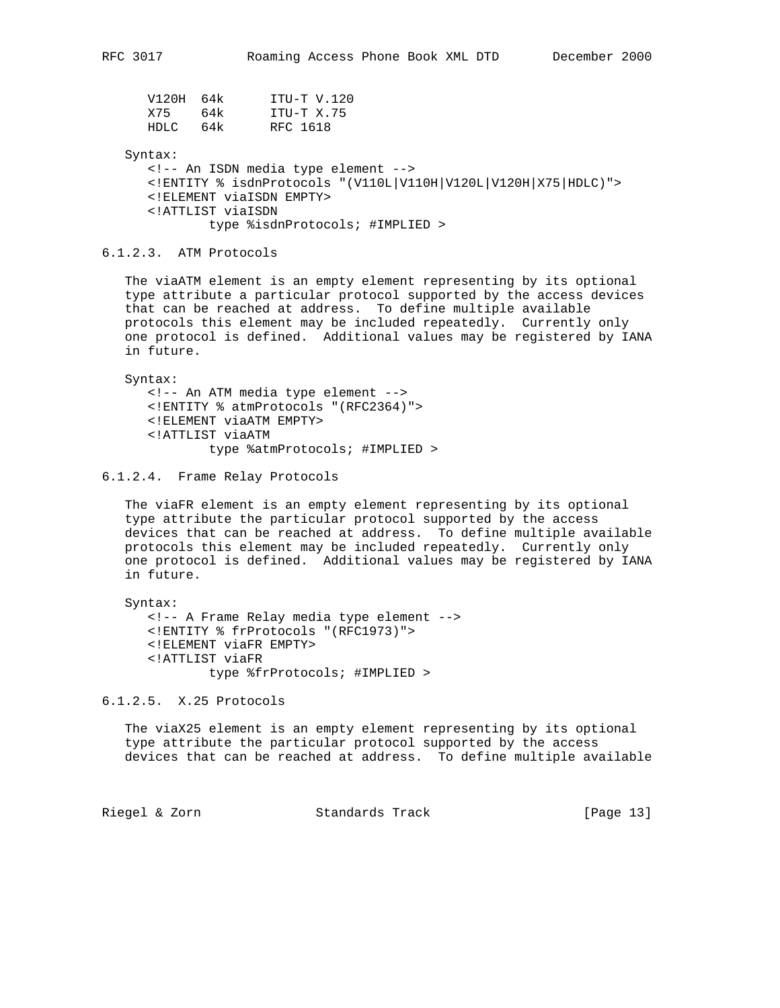|       | V120H 64k | ITU-T V.120 |
|-------|-----------|-------------|
| X75   | 64k       | ITU-T X.75  |
| HDLC. | 64k       | RFC 1618    |

Syntax:

 <!-- An ISDN media type element --> <!ENTITY % isdnProtocols "(V110L|V110H|V120L|V120H|X75|HDLC)"> <!ELEMENT viaISDN EMPTY> <!ATTLIST viaISDN type %isdnProtocols; #IMPLIED >

6.1.2.3. ATM Protocols

 The viaATM element is an empty element representing by its optional type attribute a particular protocol supported by the access devices that can be reached at address. To define multiple available protocols this element may be included repeatedly. Currently only one protocol is defined. Additional values may be registered by IANA in future.

 Syntax: <!-- An ATM media type element --> <!ENTITY % atmProtocols "(RFC2364)"> <!ELEMENT viaATM EMPTY> <!ATTLIST viaATM type %atmProtocols; #IMPLIED >

6.1.2.4. Frame Relay Protocols

 The viaFR element is an empty element representing by its optional type attribute the particular protocol supported by the access devices that can be reached at address. To define multiple available protocols this element may be included repeatedly. Currently only one protocol is defined. Additional values may be registered by IANA in future.

 Syntax: <!-- A Frame Relay media type element --> <!ENTITY % frProtocols "(RFC1973)"> <!ELEMENT viaFR EMPTY> <!ATTLIST viaFR type %frProtocols; #IMPLIED >

6.1.2.5. X.25 Protocols

 The viaX25 element is an empty element representing by its optional type attribute the particular protocol supported by the access devices that can be reached at address. To define multiple available

Riegel & Zorn Standards Track [Page 13]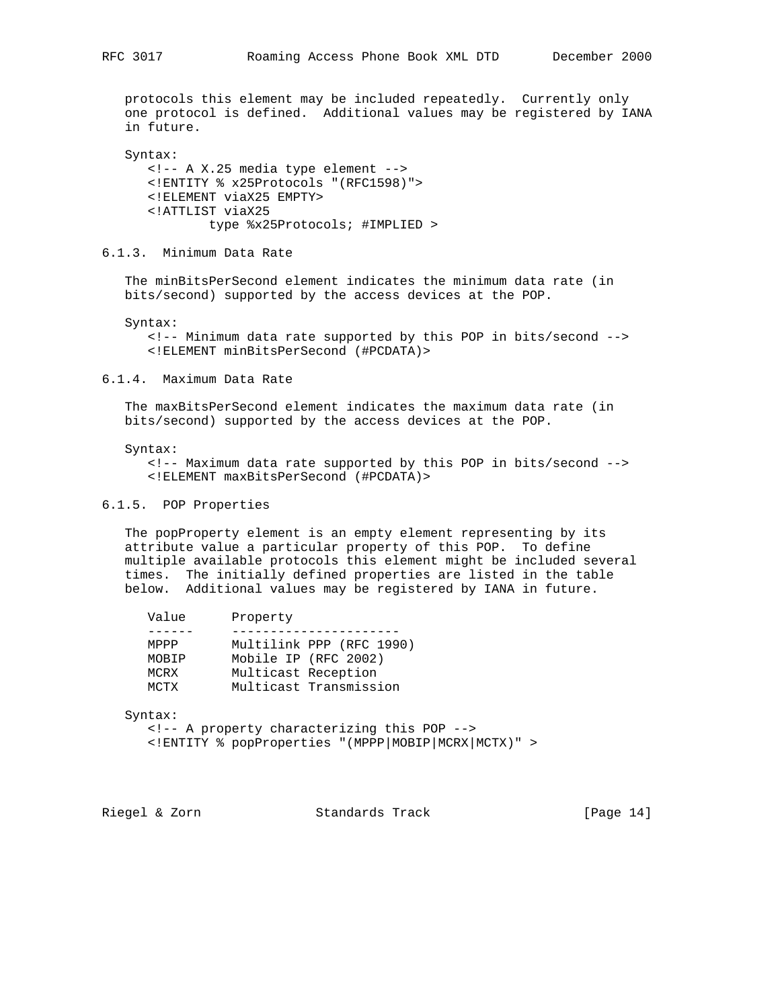protocols this element may be included repeatedly. Currently only one protocol is defined. Additional values may be registered by IANA in future.

 Syntax: <!-- A X.25 media type element --> <!ENTITY % x25Protocols "(RFC1598)"> <!ELEMENT viaX25 EMPTY> <!ATTLIST viaX25 type %x25Protocols; #IMPLIED >

6.1.3. Minimum Data Rate

 The minBitsPerSecond element indicates the minimum data rate (in bits/second) supported by the access devices at the POP.

Syntax:

 <!-- Minimum data rate supported by this POP in bits/second --> <!ELEMENT minBitsPerSecond (#PCDATA)>

#### 6.1.4. Maximum Data Rate

 The maxBitsPerSecond element indicates the maximum data rate (in bits/second) supported by the access devices at the POP.

#### Syntax:

 <!-- Maximum data rate supported by this POP in bits/second --> <!ELEMENT maxBitsPerSecond (#PCDATA)>

### 6.1.5. POP Properties

 The popProperty element is an empty element representing by its attribute value a particular property of this POP. To define multiple available protocols this element might be included several times. The initially defined properties are listed in the table below. Additional values may be registered by IANA in future.

| Value       | Property |                          |
|-------------|----------|--------------------------|
|             |          |                          |
| MPPP        |          | Multilink PPP (RFC 1990) |
| MOBIP       |          | Mobile IP (RFC 2002)     |
| MCRX        |          | Multicast Reception      |
| <b>MCTX</b> |          | Multicast Transmission   |
|             |          |                          |

Syntax:

 <!-- A property characterizing this POP --> <!ENTITY % popProperties "(MPPP|MOBIP|MCRX|MCTX)" >

Riegel & Zorn Standards Track [Page 14]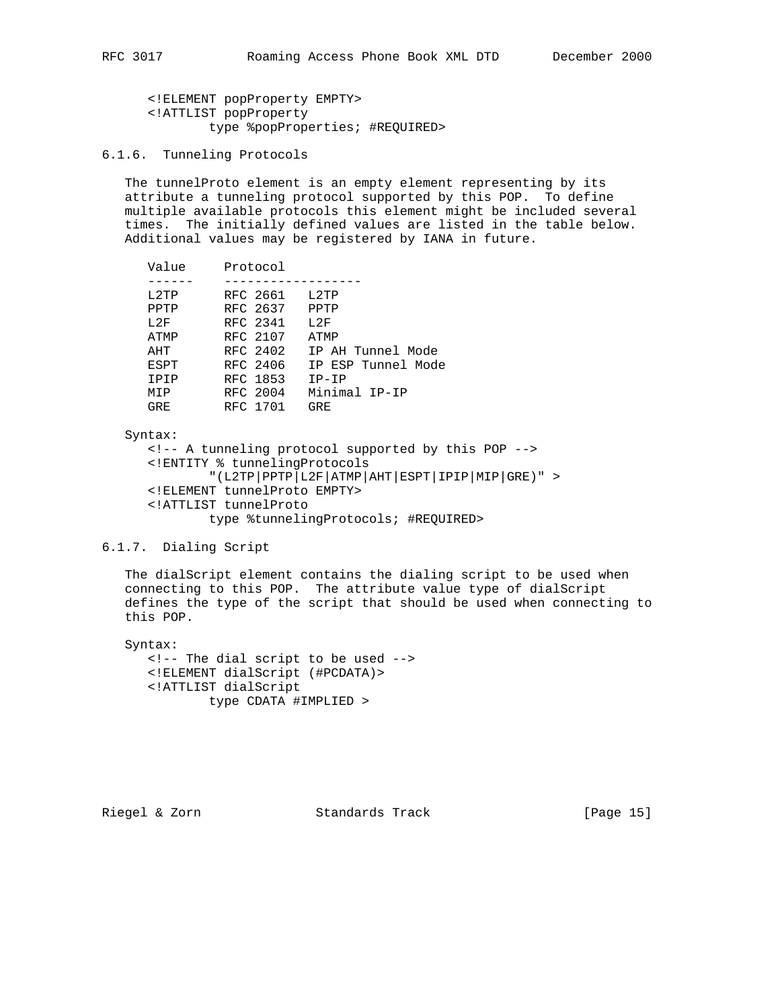<!ELEMENT popProperty EMPTY> <!ATTLIST popProperty type %popProperties; #REQUIRED>

6.1.6. Tunneling Protocols

 The tunnelProto element is an empty element representing by its attribute a tunneling protocol supported by this POP. To define multiple available protocols this element might be included several times. The initially defined values are listed in the table below. Additional values may be registered by IANA in future.

| Value                                                                            | Protocol                                                                                                 |                                                                                                                 |
|----------------------------------------------------------------------------------|----------------------------------------------------------------------------------------------------------|-----------------------------------------------------------------------------------------------------------------|
| 1.2 <sub>TP</sub><br>PPTP<br>T.2F<br>ATMP<br>AHT<br>ESPT<br>TPTP<br>MTP<br>GR F. | RFC 2661<br>RFC 2637<br>RFC 2341<br>RFC 2107<br>RFC 2402<br>RFC 2406<br>RFC 1853<br>RFC 2004<br>RFC 1701 | $T.2$ TP<br>PPTP<br>T.2F<br>ATMP<br>IP AH Tunnel Mode<br>IP ESP Tunnel Mode<br>$IP-IP$<br>Minimal IP-IP<br>GRE. |
|                                                                                  |                                                                                                          |                                                                                                                 |

#### Syntax:

 <!-- A tunneling protocol supported by this POP --> <!ENTITY % tunnelingProtocols "(L2TP|PPTP|L2F|ATMP|AHT|ESPT|IPIP|MIP|GRE)" > <!ELEMENT tunnelProto EMPTY> <!ATTLIST tunnelProto type %tunnelingProtocols; #REQUIRED>

# 6.1.7. Dialing Script

 The dialScript element contains the dialing script to be used when connecting to this POP. The attribute value type of dialScript defines the type of the script that should be used when connecting to this POP.

 Syntax: <!-- The dial script to be used --> <!ELEMENT dialScript (#PCDATA)> <!ATTLIST dialScript type CDATA #IMPLIED >

Riegel & Zorn Standards Track [Page 15]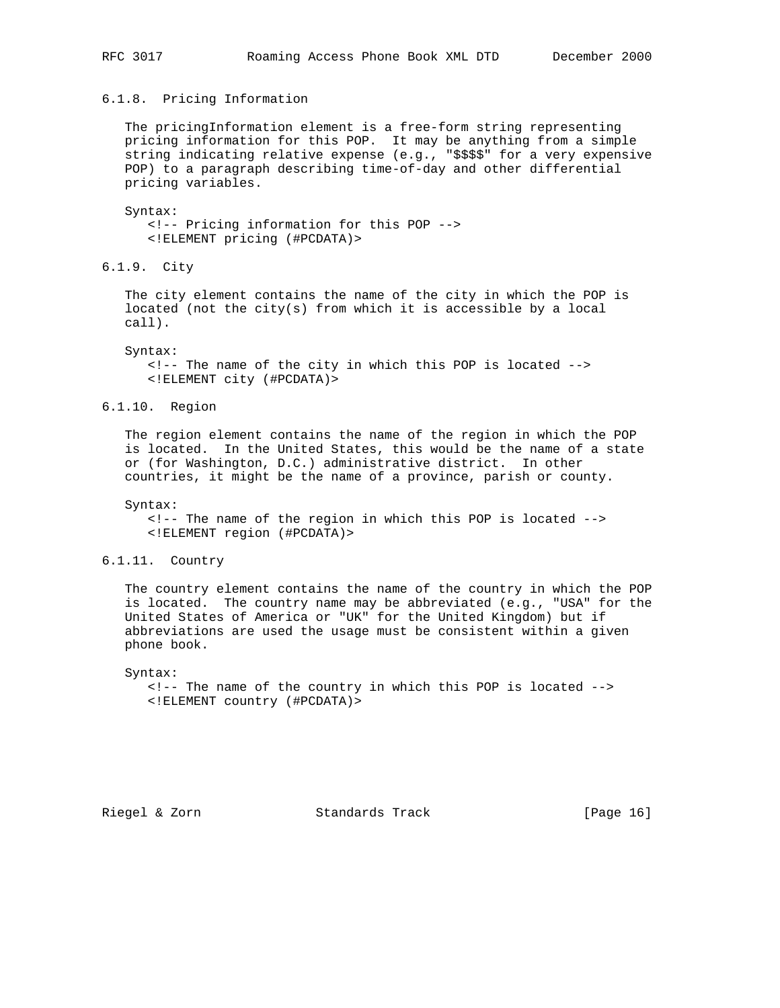# 6.1.8. Pricing Information

 The pricingInformation element is a free-form string representing pricing information for this POP. It may be anything from a simple string indicating relative expense (e.g., "\$\$\$\$" for a very expensive POP) to a paragraph describing time-of-day and other differential pricing variables.

### Syntax:

 <!-- Pricing information for this POP --> <!ELEMENT pricing (#PCDATA)>

6.1.9. City

 The city element contains the name of the city in which the POP is located (not the city(s) from which it is accessible by a local call).

Syntax:

 <!-- The name of the city in which this POP is located --> <!ELEMENT city (#PCDATA)>

6.1.10. Region

 The region element contains the name of the region in which the POP is located. In the United States, this would be the name of a state or (for Washington, D.C.) administrative district. In other countries, it might be the name of a province, parish or county.

Syntax:

 <!-- The name of the region in which this POP is located --> <!ELEMENT region (#PCDATA)>

### 6.1.11. Country

 The country element contains the name of the country in which the POP is located. The country name may be abbreviated (e.g., "USA" for the United States of America or "UK" for the United Kingdom) but if abbreviations are used the usage must be consistent within a given phone book.

Syntax:

 <!-- The name of the country in which this POP is located --> <!ELEMENT country (#PCDATA)>

Riegel & Zorn Standards Track [Page 16]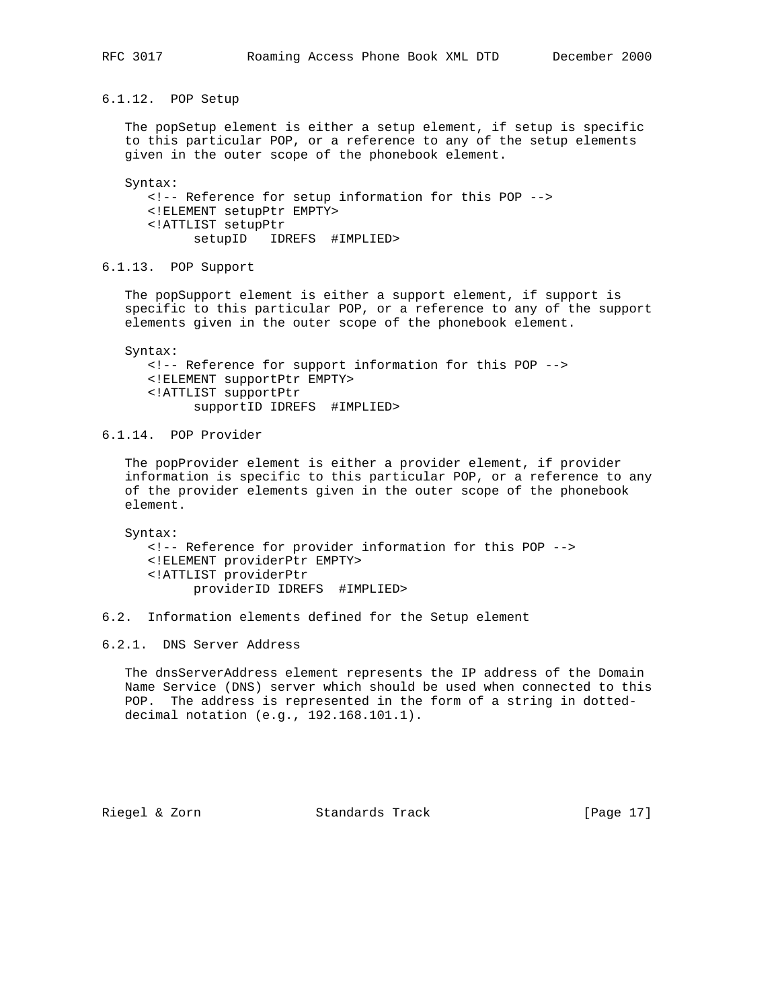6.1.12. POP Setup

 The popSetup element is either a setup element, if setup is specific to this particular POP, or a reference to any of the setup elements given in the outer scope of the phonebook element.

 Syntax: <!-- Reference for setup information for this POP --> <!ELEMENT setupPtr EMPTY> <!ATTLIST setupPtr setupID IDREFS #IMPLIED>

6.1.13. POP Support

 The popSupport element is either a support element, if support is specific to this particular POP, or a reference to any of the support elements given in the outer scope of the phonebook element.

 Syntax: <!-- Reference for support information for this POP --> <!ELEMENT supportPtr EMPTY> <!ATTLIST supportPtr supportID IDREFS #IMPLIED>

6.1.14. POP Provider

 The popProvider element is either a provider element, if provider information is specific to this particular POP, or a reference to any of the provider elements given in the outer scope of the phonebook element.

 Syntax: <!-- Reference for provider information for this POP --> <!ELEMENT providerPtr EMPTY> <!ATTLIST providerPtr providerID IDREFS #IMPLIED>

6.2. Information elements defined for the Setup element

6.2.1. DNS Server Address

 The dnsServerAddress element represents the IP address of the Domain Name Service (DNS) server which should be used when connected to this POP. The address is represented in the form of a string in dotted decimal notation (e.g., 192.168.101.1).

Riegel & Zorn Standards Track [Page 17]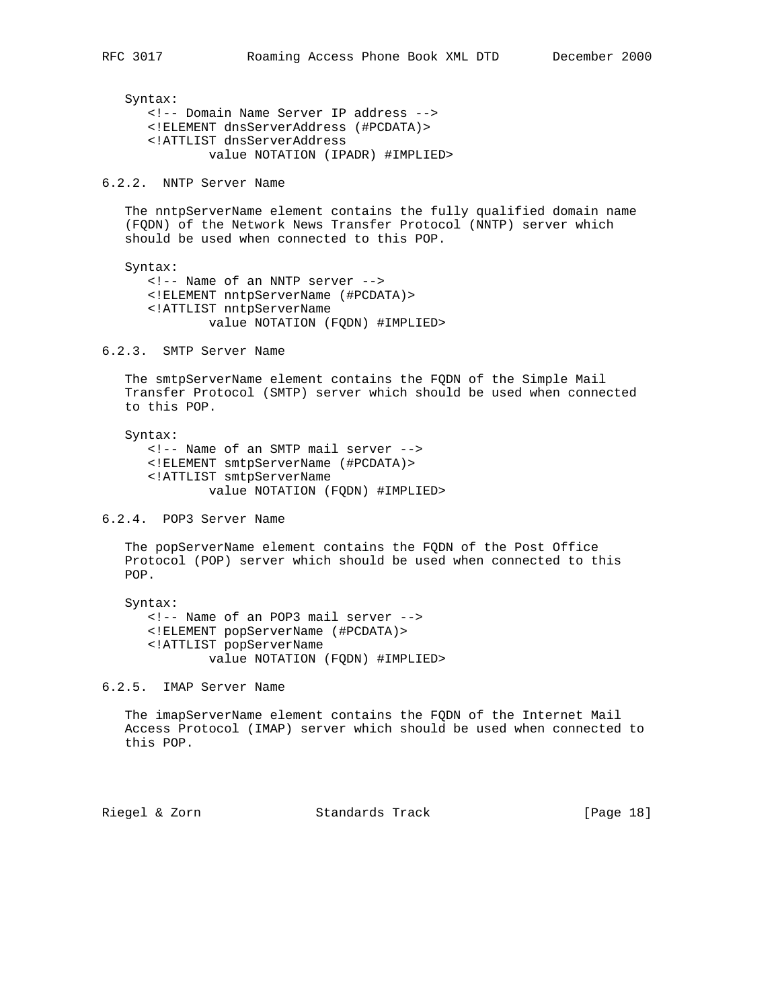Syntax: <!-- Domain Name Server IP address --> <!ELEMENT dnsServerAddress (#PCDATA)> <!ATTLIST dnsServerAddress value NOTATION (IPADR) #IMPLIED>

6.2.2. NNTP Server Name

 The nntpServerName element contains the fully qualified domain name (FQDN) of the Network News Transfer Protocol (NNTP) server which should be used when connected to this POP.

 Syntax: <!-- Name of an NNTP server --> <!ELEMENT nntpServerName (#PCDATA)> <!ATTLIST nntpServerName value NOTATION (FQDN) #IMPLIED>

6.2.3. SMTP Server Name

 The smtpServerName element contains the FQDN of the Simple Mail Transfer Protocol (SMTP) server which should be used when connected to this POP.

 Syntax: <!-- Name of an SMTP mail server --> <!ELEMENT smtpServerName (#PCDATA)> <!ATTLIST smtpServerName value NOTATION (FQDN) #IMPLIED>

6.2.4. POP3 Server Name

 The popServerName element contains the FQDN of the Post Office Protocol (POP) server which should be used when connected to this POP.

 Syntax: <!-- Name of an POP3 mail server --> <!ELEMENT popServerName (#PCDATA)> <!ATTLIST popServerName value NOTATION (FQDN) #IMPLIED>

6.2.5. IMAP Server Name

 The imapServerName element contains the FQDN of the Internet Mail Access Protocol (IMAP) server which should be used when connected to this POP.

Riegel & Zorn Standards Track [Page 18]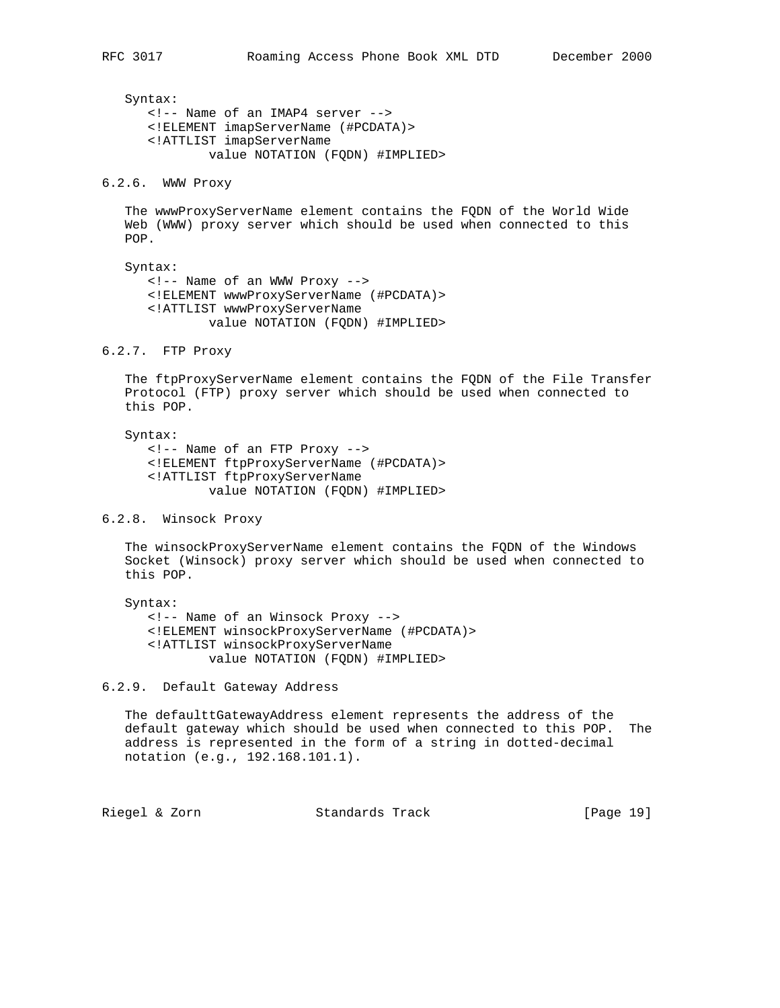Syntax: <!-- Name of an IMAP4 server --> <!ELEMENT imapServerName (#PCDATA)> <!ATTLIST imapServerName value NOTATION (FQDN) #IMPLIED>

6.2.6. WWW Proxy

 The wwwProxyServerName element contains the FQDN of the World Wide Web (WWW) proxy server which should be used when connected to this POP.

 Syntax: <!-- Name of an WWW Proxy --> <!ELEMENT wwwProxyServerName (#PCDATA)> <!ATTLIST wwwProxyServerName value NOTATION (FQDN) #IMPLIED>

6.2.7. FTP Proxy

 The ftpProxyServerName element contains the FQDN of the File Transfer Protocol (FTP) proxy server which should be used when connected to this POP.

 Syntax: <!-- Name of an FTP Proxy --> <!ELEMENT ftpProxyServerName (#PCDATA)> <!ATTLIST ftpProxyServerName value NOTATION (FQDN) #IMPLIED>

6.2.8. Winsock Proxy

 The winsockProxyServerName element contains the FQDN of the Windows Socket (Winsock) proxy server which should be used when connected to this POP.

 Syntax: <!-- Name of an Winsock Proxy --> <!ELEMENT winsockProxyServerName (#PCDATA)> <!ATTLIST winsockProxyServerName value NOTATION (FQDN) #IMPLIED>

6.2.9. Default Gateway Address

 The defaulttGatewayAddress element represents the address of the default gateway which should be used when connected to this POP. The address is represented in the form of a string in dotted-decimal notation (e.g., 192.168.101.1).

Riegel & Zorn Standards Track [Page 19]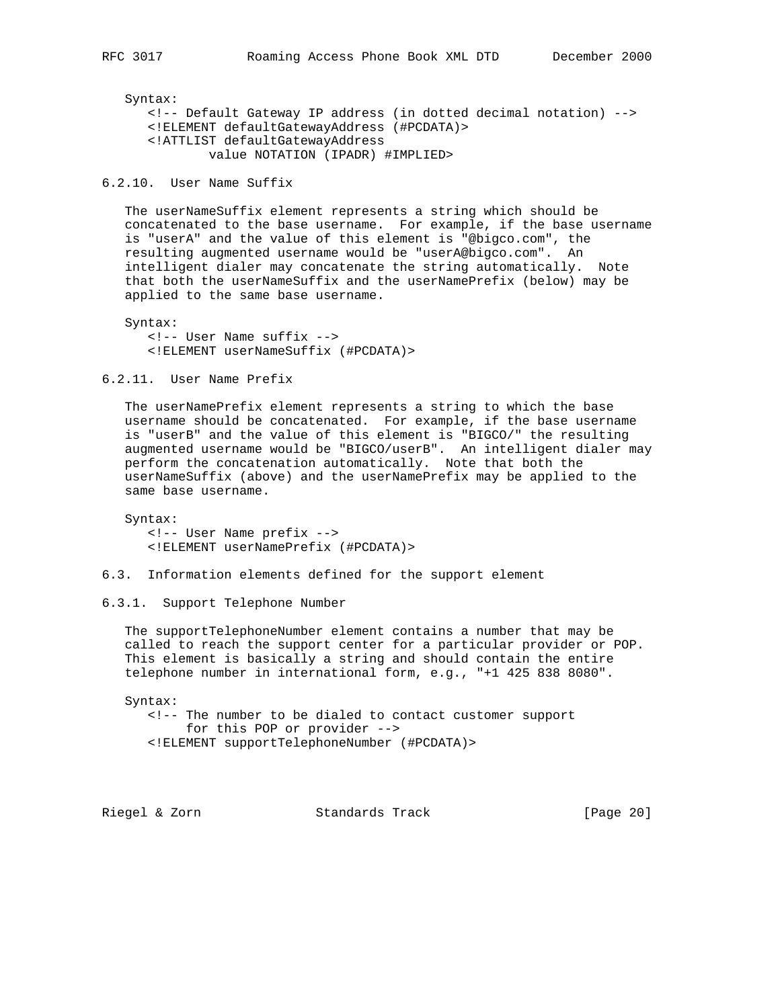Syntax: <!-- Default Gateway IP address (in dotted decimal notation) --> <!ELEMENT defaultGatewayAddress (#PCDATA)> <!ATTLIST defaultGatewayAddress value NOTATION (IPADR) #IMPLIED>

6.2.10. User Name Suffix

 The userNameSuffix element represents a string which should be concatenated to the base username. For example, if the base username is "userA" and the value of this element is "@bigco.com", the resulting augmented username would be "userA@bigco.com". An intelligent dialer may concatenate the string automatically. Note that both the userNameSuffix and the userNamePrefix (below) may be applied to the same base username.

 Syntax: <!-- User Name suffix --> <!ELEMENT userNameSuffix (#PCDATA)>

6.2.11. User Name Prefix

 The userNamePrefix element represents a string to which the base username should be concatenated. For example, if the base username is "userB" and the value of this element is "BIGCO/" the resulting augmented username would be "BIGCO/userB". An intelligent dialer may perform the concatenation automatically. Note that both the userNameSuffix (above) and the userNamePrefix may be applied to the same base username.

 Syntax: <!-- User Name prefix --> <!ELEMENT userNamePrefix (#PCDATA)>

6.3. Information elements defined for the support element

6.3.1. Support Telephone Number

 The supportTelephoneNumber element contains a number that may be called to reach the support center for a particular provider or POP. This element is basically a string and should contain the entire telephone number in international form, e.g., "+1 425 838 8080".

 Syntax: <!-- The number to be dialed to contact customer support for this POP or provider --> <!ELEMENT supportTelephoneNumber (#PCDATA)>

Riegel & Zorn Standards Track [Page 20]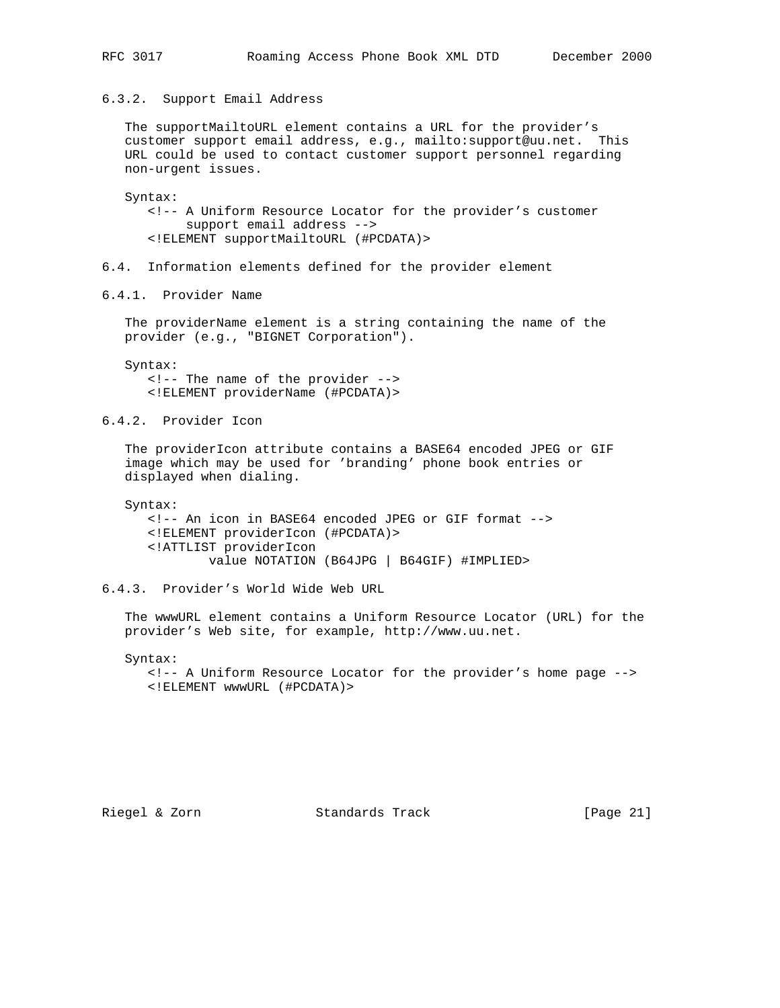6.3.2. Support Email Address

 The supportMailtoURL element contains a URL for the provider's customer support email address, e.g., mailto:support@uu.net. This URL could be used to contact customer support personnel regarding non-urgent issues.

 Syntax: <!-- A Uniform Resource Locator for the provider's customer support email address --> <!ELEMENT supportMailtoURL (#PCDATA)>

6.4. Information elements defined for the provider element

6.4.1. Provider Name

 The providerName element is a string containing the name of the provider (e.g., "BIGNET Corporation").

 Syntax: <!-- The name of the provider --> <!ELEMENT providerName (#PCDATA)>

6.4.2. Provider Icon

 The providerIcon attribute contains a BASE64 encoded JPEG or GIF image which may be used for 'branding' phone book entries or displayed when dialing.

Syntax:

 <!-- An icon in BASE64 encoded JPEG or GIF format --> <!ELEMENT providerIcon (#PCDATA)> <!ATTLIST providerIcon value NOTATION (B64JPG | B64GIF) #IMPLIED>

6.4.3. Provider's World Wide Web URL

 The wwwURL element contains a Uniform Resource Locator (URL) for the provider's Web site, for example, http://www.uu.net.

 Syntax: <!-- A Uniform Resource Locator for the provider's home page --> <!ELEMENT wwwURL (#PCDATA)>

Riegel & Zorn Standards Track [Page 21]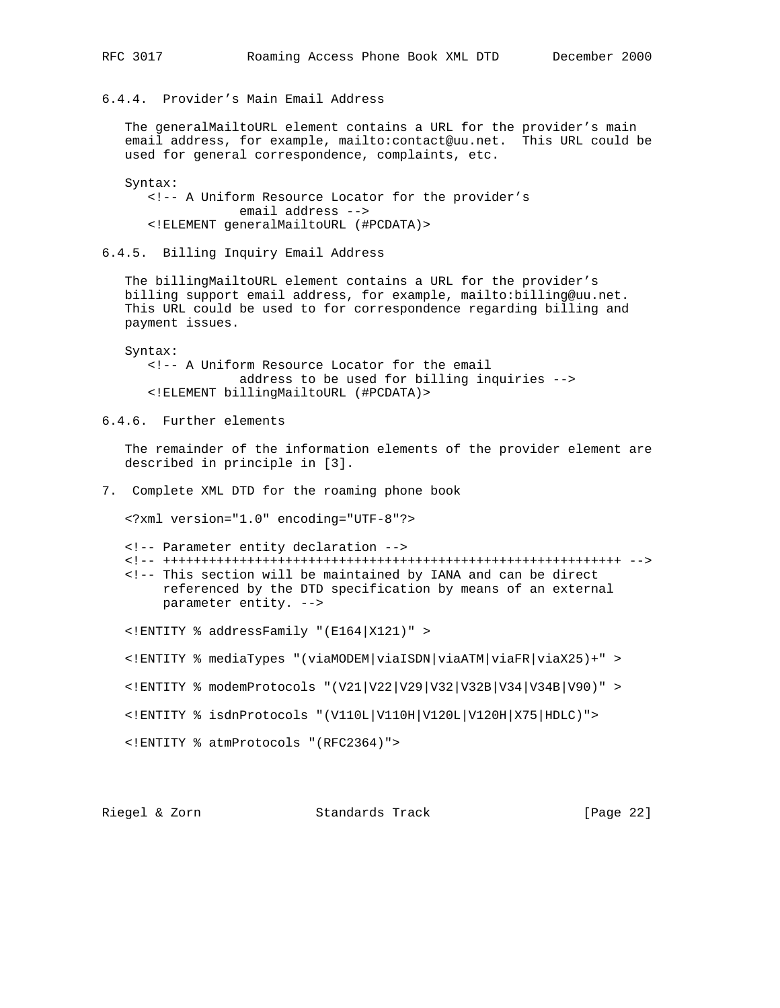6.4.4. Provider's Main Email Address

 The generalMailtoURL element contains a URL for the provider's main email address, for example, mailto:contact@uu.net. This URL could be used for general correspondence, complaints, etc.

```
 Syntax:
    <!-- A Uniform Resource Locator for the provider's
                email address -->
    <!ELEMENT generalMailtoURL (#PCDATA)>
```
6.4.5. Billing Inquiry Email Address

 The billingMailtoURL element contains a URL for the provider's billing support email address, for example, mailto:billing@uu.net. This URL could be used to for correspondence regarding billing and payment issues.

 Syntax: <!-- A Uniform Resource Locator for the email address to be used for billing inquiries --> <!ELEMENT billingMailtoURL (#PCDATA)>

6.4.6. Further elements

 The remainder of the information elements of the provider element are described in principle in [3].

7. Complete XML DTD for the roaming phone book

<?xml version="1.0" encoding="UTF-8"?>

- <!-- Parameter entity declaration -->
- <!-- ++++++++++++++++++++++++++++++++++++++++++++++++++++++++++++ --> <!-- This section will be maintained by IANA and can be direct referenced by the DTD specification by means of an external parameter entity. -->

<!ENTITY % addressFamily "(E164|X121)" >

<!ENTITY % mediaTypes "(viaMODEM|viaISDN|viaATM|viaFR|viaX25)+" >

<!ENTITY % modemProtocols "(V21|V22|V29|V32|V32B|V34|V34B|V90)" >

<!ENTITY % isdnProtocols "(V110L|V110H|V120L|V120H|X75|HDLC)">

<!ENTITY % atmProtocols "(RFC2364)">

Riegel & Zorn Standards Track [Page 22]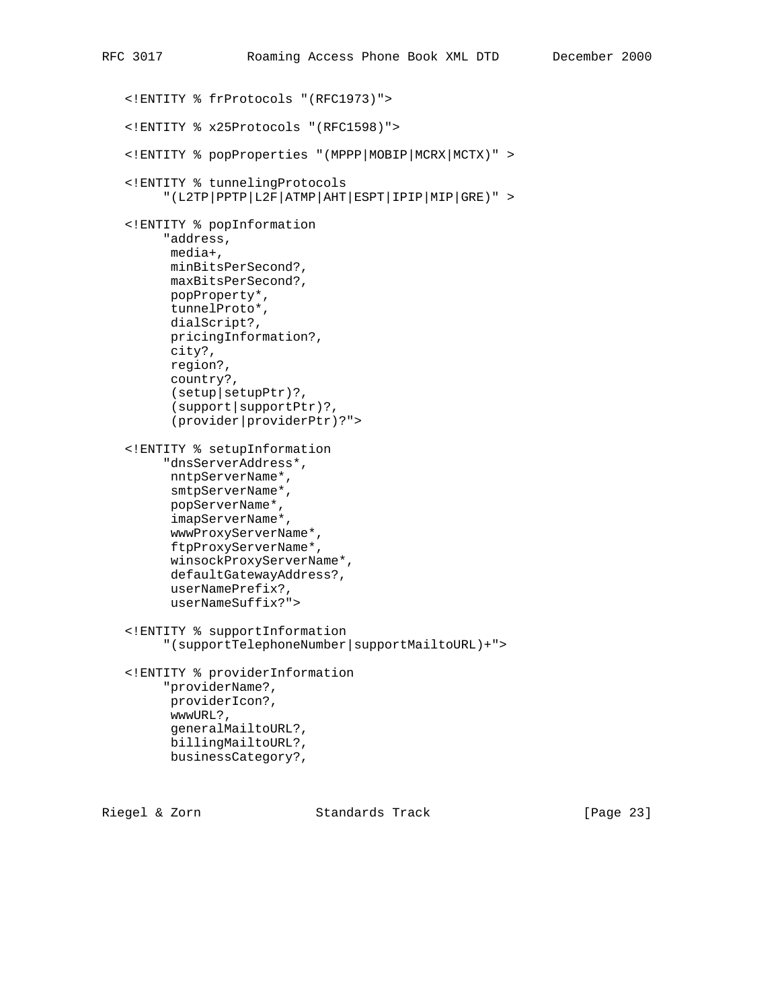```
 <!ENTITY % frProtocols "(RFC1973)">
 <!ENTITY % x25Protocols "(RFC1598)">
 <!ENTITY % popProperties "(MPPP|MOBIP|MCRX|MCTX)" >
 <!ENTITY % tunnelingProtocols
      "(L2TP|PPTP|L2F|ATMP|AHT|ESPT|IPIP|MIP|GRE)" >
 <!ENTITY % popInformation
      "address,
      media+,
       minBitsPerSecond?,
       maxBitsPerSecond?,
       popProperty*,
       tunnelProto*,
       dialScript?,
       pricingInformation?,
       city?,
       region?,
       country?,
       (setup|setupPtr)?,
       (support|supportPtr)?,
       (provider|providerPtr)?">
 <!ENTITY % setupInformation
      "dnsServerAddress*,
       nntpServerName*,
      smtpServerName*,
       popServerName*,
       imapServerName*,
       wwwProxyServerName*,
       ftpProxyServerName*,
       winsockProxyServerName*,
       defaultGatewayAddress?,
       userNamePrefix?,
       userNameSuffix?">
 <!ENTITY % supportInformation
      "(supportTelephoneNumber|supportMailtoURL)+">
 <!ENTITY % providerInformation
      "providerName?,
       providerIcon?,
       wwwURL?,
       generalMailtoURL?,
       billingMailtoURL?,
       businessCategory?,
```
Riegel & Zorn Standards Track [Page 23]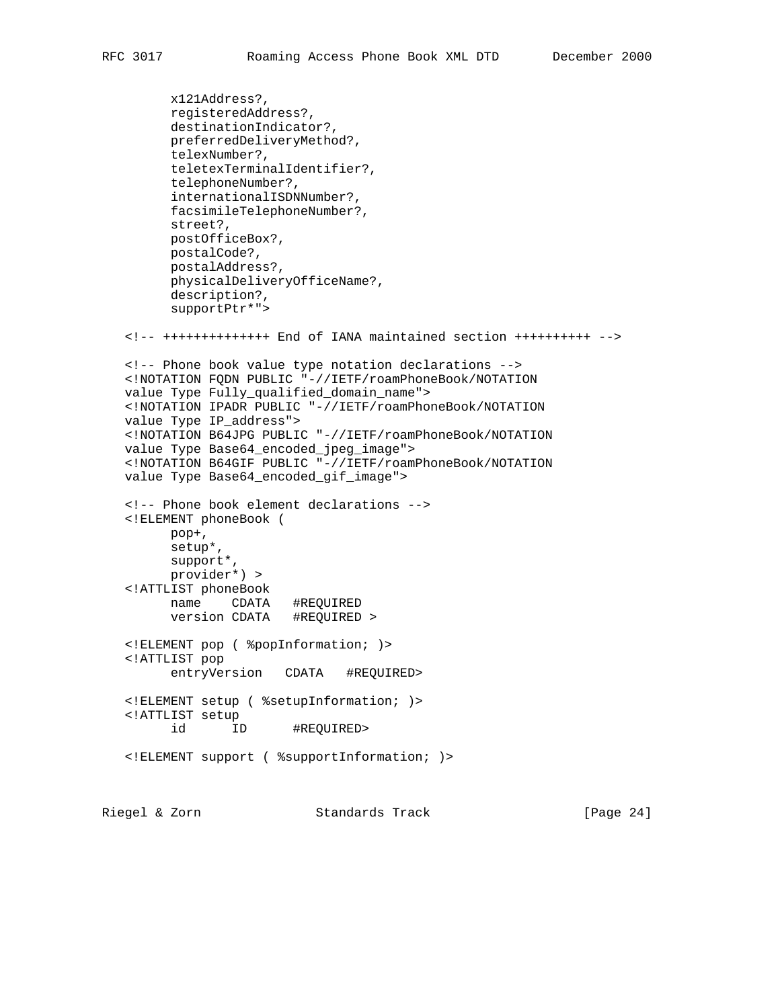```
 x121Address?,
          registeredAddress?,
          destinationIndicator?,
         preferredDeliveryMethod?,
         telexNumber?,
         teletexTerminalIdentifier?,
         telephoneNumber?,
         internationalISDNNumber?,
         facsimileTelephoneNumber?,
         street?,
         postOfficeBox?,
         postalCode?,
         postalAddress?,
          physicalDeliveryOfficeName?,
          description?,
          supportPtr*">
    <!-- ++++++++++++++ End of IANA maintained section ++++++++++ -->
    <!-- Phone book value type notation declarations -->
    <!NOTATION FQDN PUBLIC "-//IETF/roamPhoneBook/NOTATION
    value Type Fully_qualified_domain_name">
    <!NOTATION IPADR PUBLIC "-//IETF/roamPhoneBook/NOTATION
    value Type IP_address">
    <!NOTATION B64JPG PUBLIC "-//IETF/roamPhoneBook/NOTATION
 value Type Base64_encoded_jpeg_image">
 <!NOTATION B64GIF PUBLIC "-//IETF/roamPhoneBook/NOTATION
   value Type Base64_encoded_gif_image">
    <!-- Phone book element declarations -->
    <!ELEMENT phoneBook (
         pop+,
         setup*,
         support*,
         provider*) >
    <!ATTLIST phoneBook
         name CDATA #REQUIRED
          version CDATA #REQUIRED >
    <!ELEMENT pop ( %popInformation; )>
    <!ATTLIST pop
         entryVersion CDATA #REQUIRED>
    <!ELEMENT setup ( %setupInformation; )>
    <!ATTLIST setup
         id ID #REQUIRED>
    <!ELEMENT support ( %supportInformation; )>
Riegel & Zorn Standards Track [Page 24]
```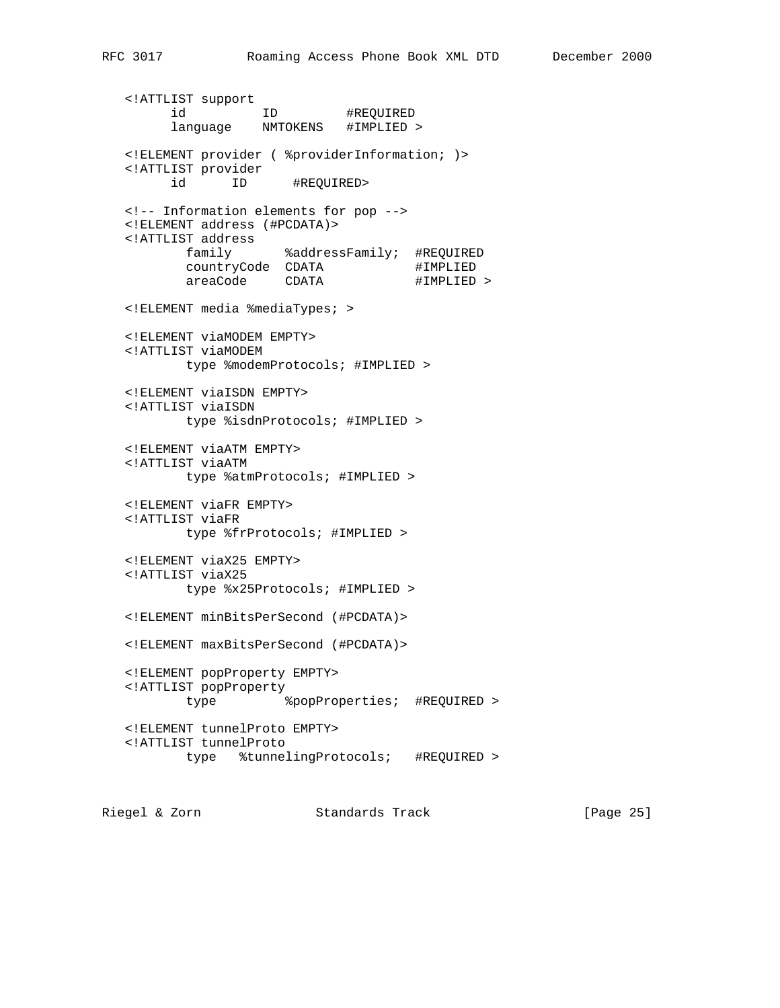<!ATTLIST support id ID #REQUIRED language NMTOKENS #IMPLIED > <!ELEMENT provider ( %providerInformation; )> <!ATTLIST provider id ID #REQUIRED> <!-- Information elements for pop --> <!ELEMENT address (#PCDATA)> <!ATTLIST address family %addressFamily; #REQUIRED countryCode CDATA #IMPLIED areaCode CDATA #IMPLIED > <!ELEMENT media %mediaTypes; > <!ELEMENT viaMODEM EMPTY> <!ATTLIST viaMODEM type %modemProtocols; #IMPLIED > <!ELEMENT viaISDN EMPTY> <!ATTLIST viaISDN type %isdnProtocols; #IMPLIED > <!ELEMENT viaATM EMPTY> <!ATTLIST viaATM type %atmProtocols; #IMPLIED > <!ELEMENT viaFR EMPTY> <!ATTLIST viaFR type %frProtocols; #IMPLIED > <!ELEMENT viaX25 EMPTY> <!ATTLIST viaX25 type %x25Protocols; #IMPLIED > <!ELEMENT minBitsPerSecond (#PCDATA)> <!ELEMENT maxBitsPerSecond (#PCDATA)> <!ELEMENT popProperty EMPTY> <!ATTLIST popProperty type %popProperties; #REQUIRED > <!ELEMENT tunnelProto EMPTY> <!ATTLIST tunnelProto type %tunnelingProtocols; #REQUIRED >

Riegel & Zorn Standards Track [Page 25]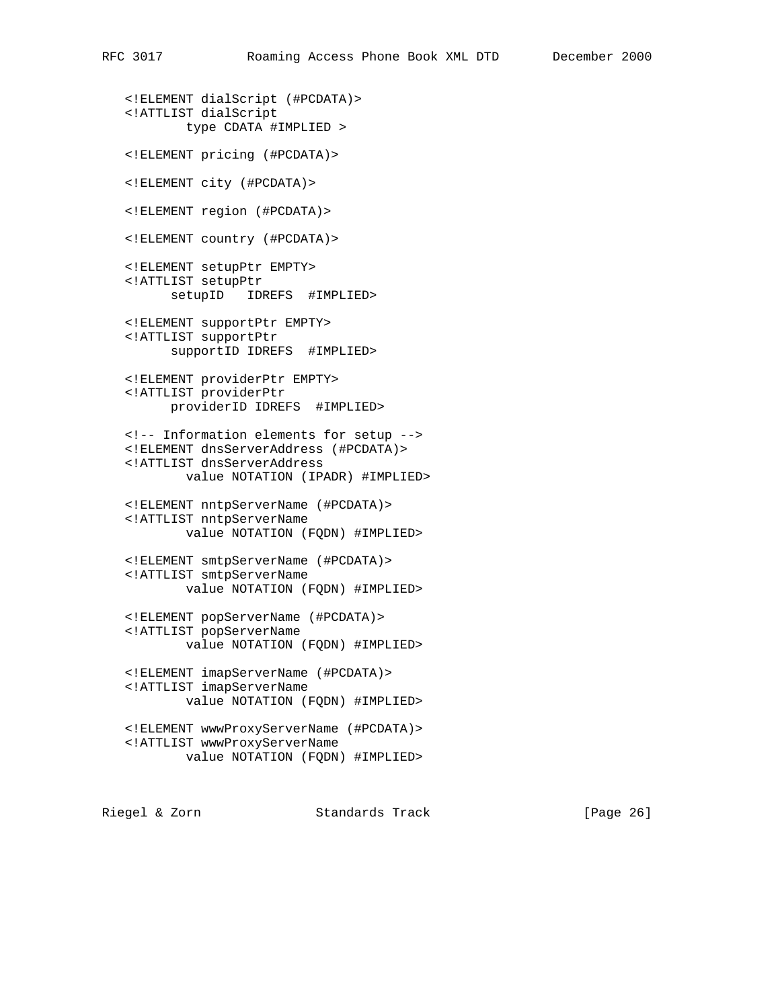```
 <!ELEMENT dialScript (#PCDATA)>
 <!ATTLIST dialScript
         type CDATA #IMPLIED >
 <!ELEMENT pricing (#PCDATA)>
 <!ELEMENT city (#PCDATA)>
 <!ELEMENT region (#PCDATA)>
 <!ELEMENT country (#PCDATA)>
 <!ELEMENT setupPtr EMPTY>
 <!ATTLIST setupPtr
       setupID IDREFS #IMPLIED>
 <!ELEMENT supportPtr EMPTY>
 <!ATTLIST supportPtr
       supportID IDREFS #IMPLIED>
 <!ELEMENT providerPtr EMPTY>
 <!ATTLIST providerPtr
       providerID IDREFS #IMPLIED>
 <!-- Information elements for setup -->
 <!ELEMENT dnsServerAddress (#PCDATA)>
 <!ATTLIST dnsServerAddress
         value NOTATION (IPADR) #IMPLIED>
 <!ELEMENT nntpServerName (#PCDATA)>
 <!ATTLIST nntpServerName
        value NOTATION (FQDN) #IMPLIED>
 <!ELEMENT smtpServerName (#PCDATA)>
 <!ATTLIST smtpServerName
         value NOTATION (FQDN) #IMPLIED>
 <!ELEMENT popServerName (#PCDATA)>
 <!ATTLIST popServerName
         value NOTATION (FQDN) #IMPLIED>
 <!ELEMENT imapServerName (#PCDATA)>
 <!ATTLIST imapServerName
         value NOTATION (FQDN) #IMPLIED>
 <!ELEMENT wwwProxyServerName (#PCDATA)>
 <!ATTLIST wwwProxyServerName
         value NOTATION (FQDN) #IMPLIED>
```
Riegel & Zorn Standards Track [Page 26]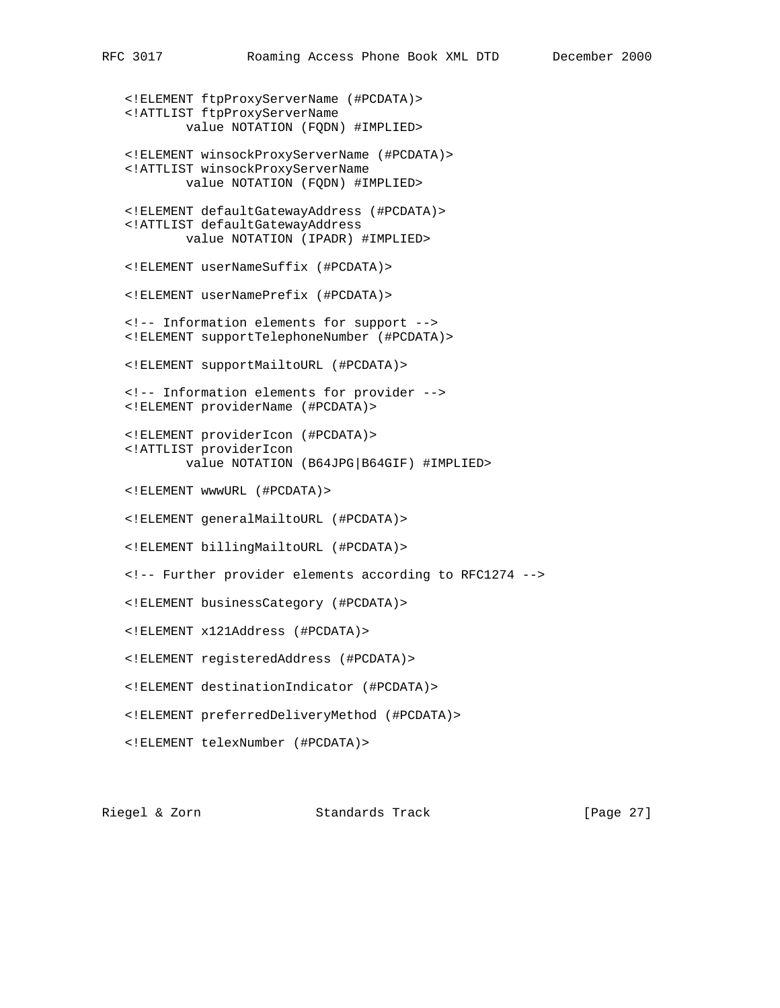<!ELEMENT ftpProxyServerName (#PCDATA)> <!ATTLIST ftpProxyServerName value NOTATION (FQDN) #IMPLIED> <!ELEMENT winsockProxyServerName (#PCDATA)> <!ATTLIST winsockProxyServerName value NOTATION (FQDN) #IMPLIED> <!ELEMENT defaultGatewayAddress (#PCDATA)> <!ATTLIST defaultGatewayAddress value NOTATION (IPADR) #IMPLIED> <!ELEMENT userNameSuffix (#PCDATA)> <!ELEMENT userNamePrefix (#PCDATA)> <!-- Information elements for support --> <!ELEMENT supportTelephoneNumber (#PCDATA)> <!ELEMENT supportMailtoURL (#PCDATA)> <!-- Information elements for provider --> <!ELEMENT providerName (#PCDATA)> <!ELEMENT providerIcon (#PCDATA)> <!ATTLIST providerIcon value NOTATION (B64JPG|B64GIF) #IMPLIED> <!ELEMENT wwwURL (#PCDATA)> <!ELEMENT generalMailtoURL (#PCDATA)> <!ELEMENT billingMailtoURL (#PCDATA)> <!-- Further provider elements according to RFC1274 --> <!ELEMENT businessCategory (#PCDATA)> <!ELEMENT x121Address (#PCDATA)> <!ELEMENT registeredAddress (#PCDATA)> <!ELEMENT destinationIndicator (#PCDATA)> <!ELEMENT preferredDeliveryMethod (#PCDATA)> <!ELEMENT telexNumber (#PCDATA)>

Riegel & Zorn Standards Track [Page 27]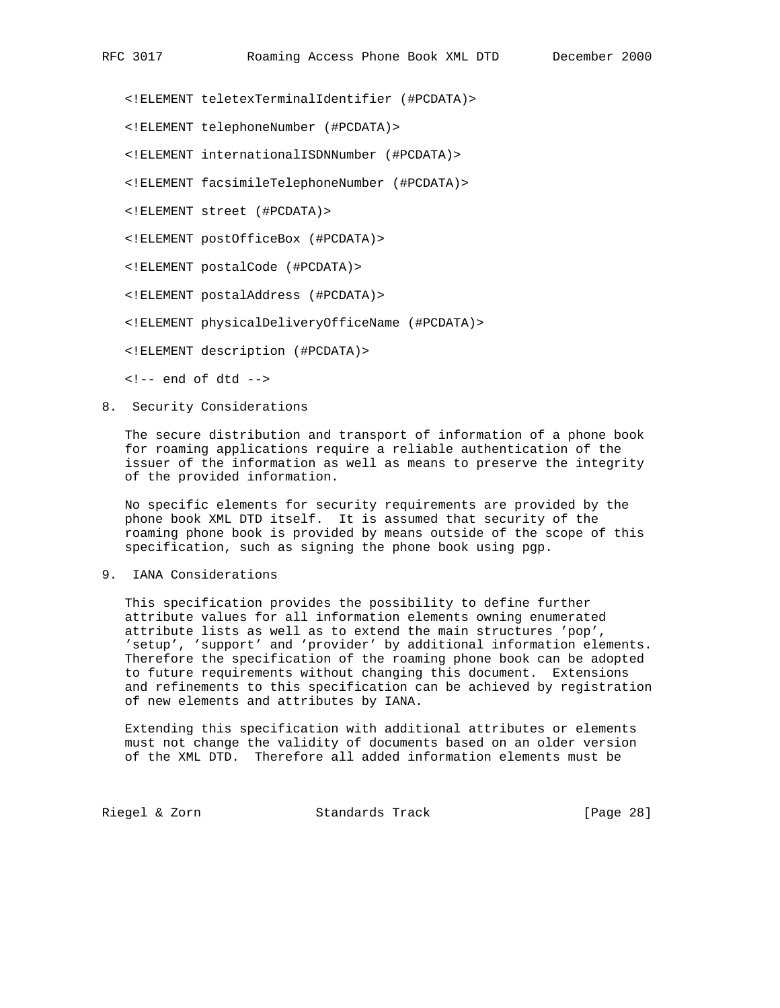<!ELEMENT teletexTerminalIdentifier (#PCDATA)>

- <!ELEMENT telephoneNumber (#PCDATA)>
- <!ELEMENT internationalISDNNumber (#PCDATA)>
- <!ELEMENT facsimileTelephoneNumber (#PCDATA)>
- <!ELEMENT street (#PCDATA)>
- <!ELEMENT postOfficeBox (#PCDATA)>
- <!ELEMENT postalCode (#PCDATA)>
- <!ELEMENT postalAddress (#PCDATA)>
- <!ELEMENT physicalDeliveryOfficeName (#PCDATA)>
- <!ELEMENT description (#PCDATA)>
- $\leftarrow$  :-- end of dtd -->
- 8. Security Considerations

 The secure distribution and transport of information of a phone book for roaming applications require a reliable authentication of the issuer of the information as well as means to preserve the integrity of the provided information.

 No specific elements for security requirements are provided by the phone book XML DTD itself. It is assumed that security of the roaming phone book is provided by means outside of the scope of this specification, such as signing the phone book using pgp.

9. IANA Considerations

 This specification provides the possibility to define further attribute values for all information elements owning enumerated attribute lists as well as to extend the main structures 'pop', 'setup', 'support' and 'provider' by additional information elements. Therefore the specification of the roaming phone book can be adopted to future requirements without changing this document. Extensions and refinements to this specification can be achieved by registration of new elements and attributes by IANA.

 Extending this specification with additional attributes or elements must not change the validity of documents based on an older version of the XML DTD. Therefore all added information elements must be

Riegel & Zorn Standards Track [Page 28]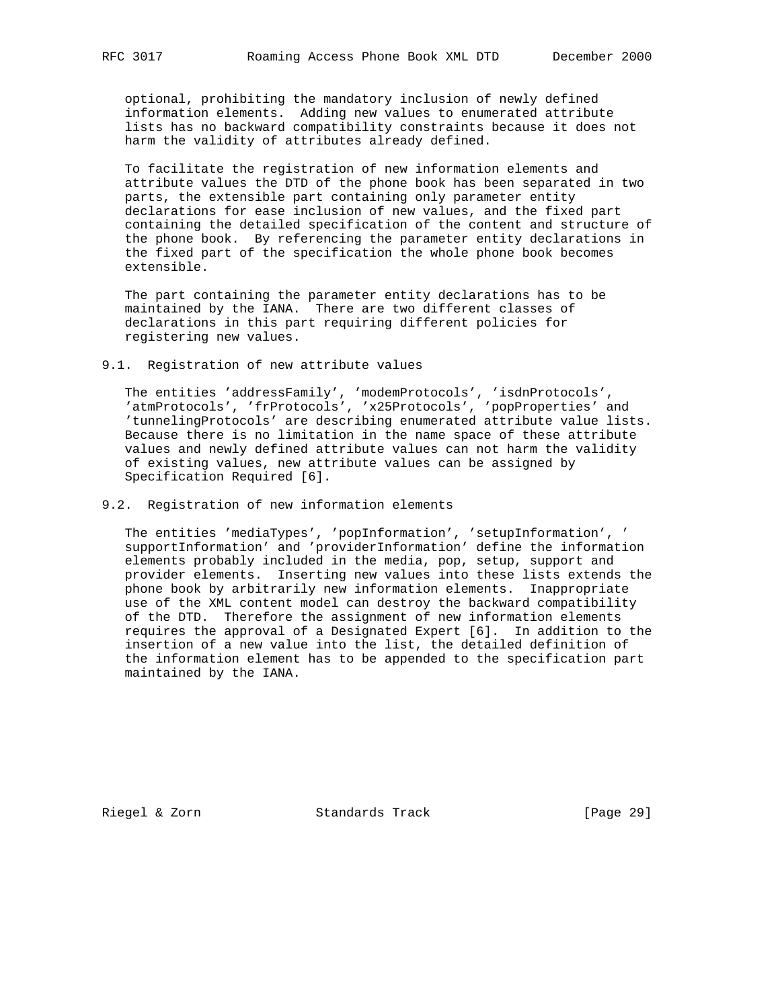optional, prohibiting the mandatory inclusion of newly defined information elements. Adding new values to enumerated attribute lists has no backward compatibility constraints because it does not harm the validity of attributes already defined.

 To facilitate the registration of new information elements and attribute values the DTD of the phone book has been separated in two parts, the extensible part containing only parameter entity declarations for ease inclusion of new values, and the fixed part containing the detailed specification of the content and structure of the phone book. By referencing the parameter entity declarations in the fixed part of the specification the whole phone book becomes extensible.

 The part containing the parameter entity declarations has to be maintained by the IANA. There are two different classes of declarations in this part requiring different policies for registering new values.

9.1. Registration of new attribute values

 The entities 'addressFamily', 'modemProtocols', 'isdnProtocols', 'atmProtocols', 'frProtocols', 'x25Protocols', 'popProperties' and 'tunnelingProtocols' are describing enumerated attribute value lists. Because there is no limitation in the name space of these attribute values and newly defined attribute values can not harm the validity of existing values, new attribute values can be assigned by Specification Required [6].

9.2. Registration of new information elements

 The entities 'mediaTypes', 'popInformation', 'setupInformation', ' supportInformation' and 'providerInformation' define the information elements probably included in the media, pop, setup, support and provider elements. Inserting new values into these lists extends the phone book by arbitrarily new information elements. Inappropriate use of the XML content model can destroy the backward compatibility of the DTD. Therefore the assignment of new information elements requires the approval of a Designated Expert [6]. In addition to the insertion of a new value into the list, the detailed definition of the information element has to be appended to the specification part maintained by the IANA.

Riegel & Zorn Standards Track [Page 29]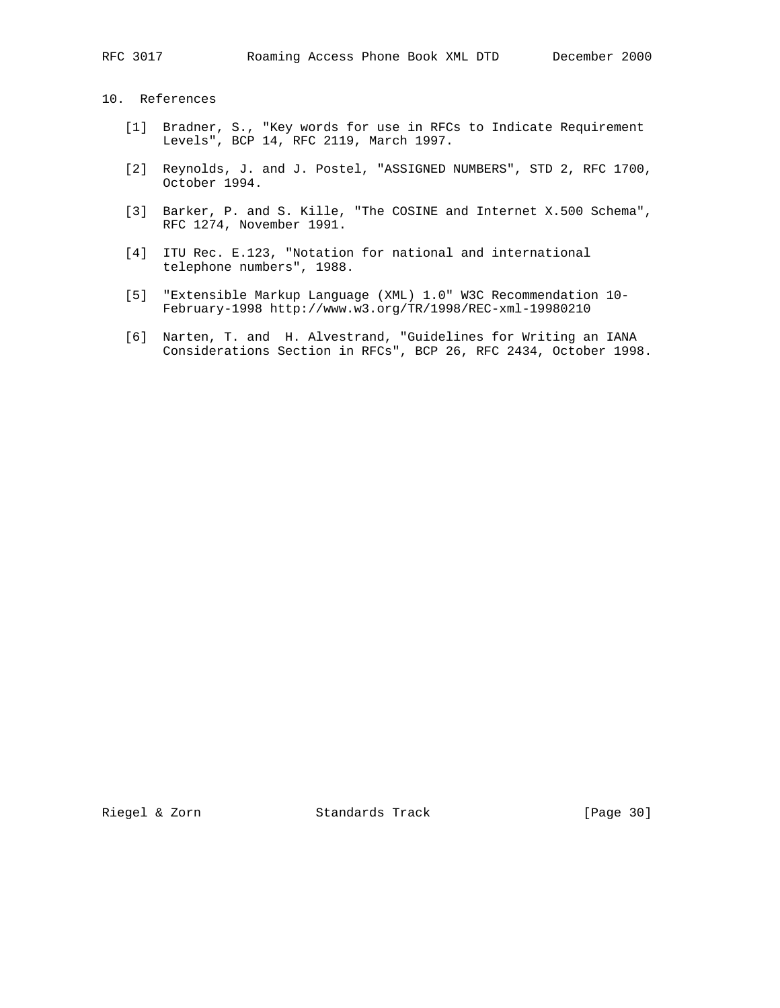# 10. References

- [1] Bradner, S., "Key words for use in RFCs to Indicate Requirement Levels", BCP 14, RFC 2119, March 1997.
- [2] Reynolds, J. and J. Postel, "ASSIGNED NUMBERS", STD 2, RFC 1700, October 1994.
- [3] Barker, P. and S. Kille, "The COSINE and Internet X.500 Schema", RFC 1274, November 1991.
- [4] ITU Rec. E.123, "Notation for national and international telephone numbers", 1988.
- [5] "Extensible Markup Language (XML) 1.0" W3C Recommendation 10- February-1998 http://www.w3.org/TR/1998/REC-xml-19980210
- [6] Narten, T. and H. Alvestrand, "Guidelines for Writing an IANA Considerations Section in RFCs", BCP 26, RFC 2434, October 1998.

Riegel & Zorn Standards Track [Page 30]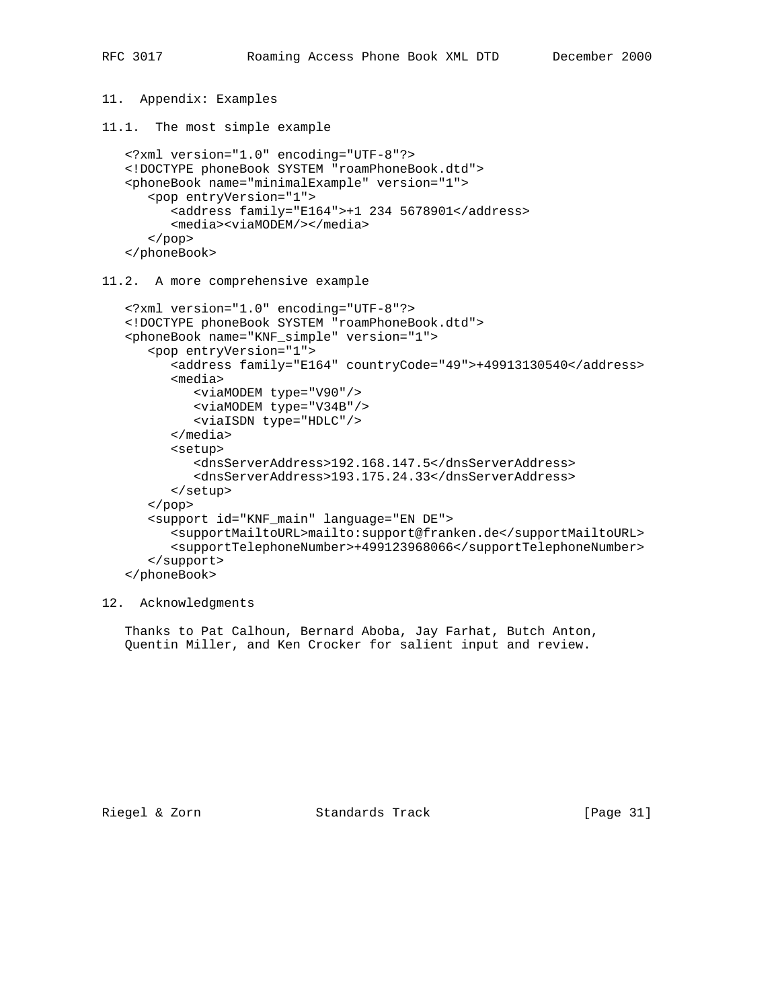```
11. Appendix: Examples
11.1. The most simple example
    <?xml version="1.0" encoding="UTF-8"?>
    <!DOCTYPE phoneBook SYSTEM "roamPhoneBook.dtd">
    <phoneBook name="minimalExample" version="1">
       <pop entryVersion="1">
          <address family="E164">+1 234 5678901</address>
          <media><viaMODEM/></media>
       </pop>
    </phoneBook>
11.2. A more comprehensive example
    <?xml version="1.0" encoding="UTF-8"?>
    <!DOCTYPE phoneBook SYSTEM "roamPhoneBook.dtd">
    <phoneBook name="KNF_simple" version="1">
       <pop entryVersion="1">
          <address family="E164" countryCode="49">+49913130540</address>
          <media>
             <viaMODEM type="V90"/>
             <viaMODEM type="V34B"/>
             <viaISDN type="HDLC"/>
          </media>
          <setup>
             <dnsServerAddress>192.168.147.5</dnsServerAddress>
             <dnsServerAddress>193.175.24.33</dnsServerAddress>
          </setup>
       </pop>
       <support id="KNF_main" language="EN DE">
          <supportMailtoURL>mailto:support@franken.de</supportMailtoURL>
          <supportTelephoneNumber>+499123968066</supportTelephoneNumber>
       </support>
    </phoneBook>
```

```
12. Acknowledgments
```
 Thanks to Pat Calhoun, Bernard Aboba, Jay Farhat, Butch Anton, Quentin Miller, and Ken Crocker for salient input and review.

Riegel & Zorn Standards Track [Page 31]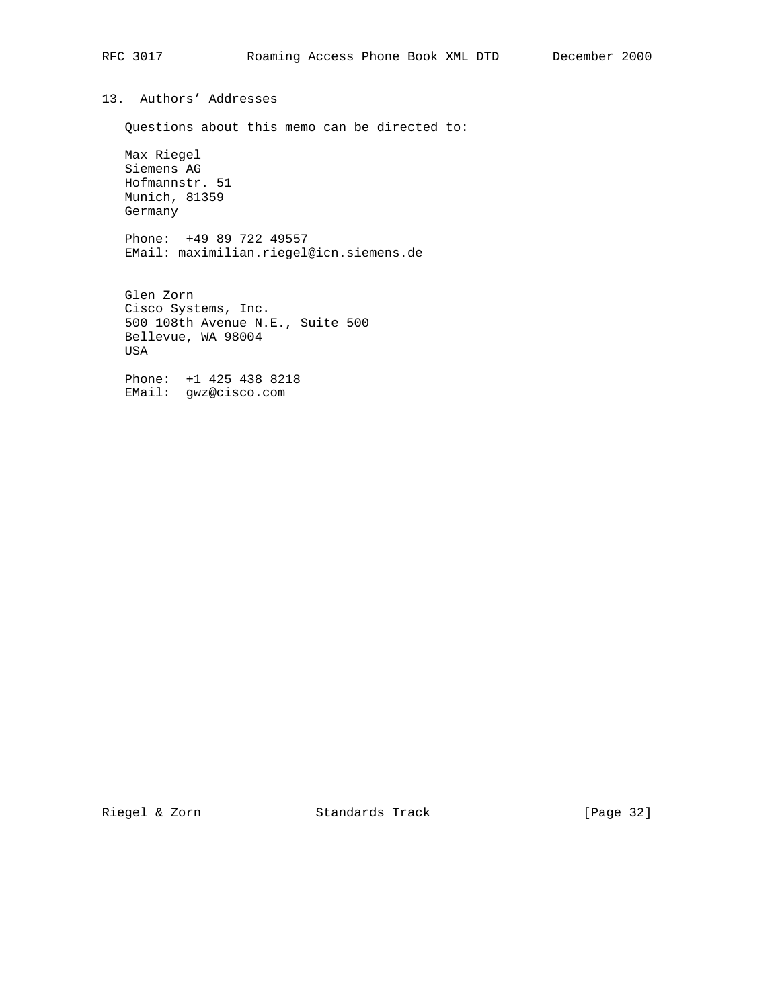# 13. Authors' Addresses

Questions about this memo can be directed to:

 Max Riegel Siemens AG Hofmannstr. 51 Munich, 81359 Germany

 Phone: +49 89 722 49557 EMail: maximilian.riegel@icn.siemens.de

 Glen Zorn Cisco Systems, Inc. 500 108th Avenue N.E., Suite 500 Bellevue, WA 98004 USA

 Phone: +1 425 438 8218 EMail: gwz@cisco.com

Riegel & Zorn Standards Track [Page 32]